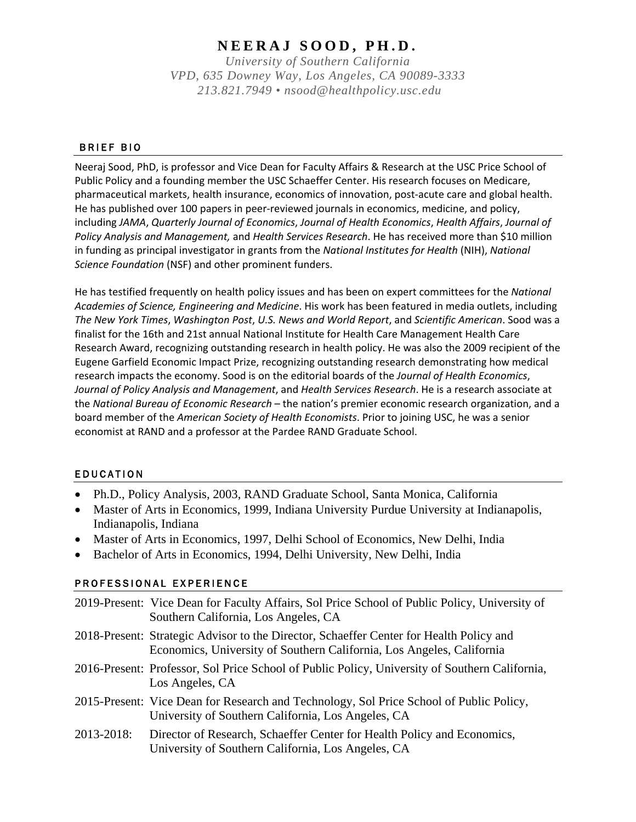# **NEERAJ SOOD , PH.D.**

*University of Southern California VPD, 635 Downey Way, Los Angeles, CA 90089-3333 213.821.7949 • nsood@healthpolicy.usc.edu*

#### BRIEF BIO

Neeraj Sood, PhD, is professor and Vice Dean for Faculty Affairs & Research at the USC Price School of Public Policy and a founding member the USC Schaeffer Center. His research focuses on Medicare, pharmaceutical markets, health insurance, economics of innovation, post-acute care and global health. He has published over 100 papers in peer-reviewed journals in economics, medicine, and policy, including *JAMA*, *Quarterly Journal of Economics*, *Journal of Health Economics*, *Health Affairs*, *Journal of Policy Analysis and Management,* and *Health Services Research*. He has received more than \$10 million in funding as principal investigator in grants from the *National Institutes for Health* (NIH), *National Science Foundation* (NSF) and other prominent funders.

He has testified frequently on health policy issues and has been on expert committees for the *National Academies of Science, Engineering and Medicine*. His work has been featured in media outlets, including *The New York Times*, *Washington Post*, *U.S. News and World Report*, and *Scientific American*. Sood was a finalist for the 16th and 21st annual National Institute for Health Care Management Health Care Research Award, recognizing outstanding research in health policy. He was also the 2009 recipient of the Eugene Garfield Economic Impact Prize, recognizing outstanding research demonstrating how medical research impacts the economy. Sood is on the editorial boards of the *Journal of Health Economics*, *Journal of Policy Analysis and Management*, and *Health Services Research*. He is a research associate at the *National Bureau of Economic Research* – the nation's premier economic research organization, and a board member of the *American Society of Health Economists*. Prior to joining USC, he was a senior economist at RAND and a professor at the Pardee RAND Graduate School.

### EDUCATION

- Ph.D., Policy Analysis, 2003, RAND Graduate School, Santa Monica, California
- Master of Arts in Economics, 1999, Indiana University Purdue University at Indianapolis, Indianapolis, Indiana
- Master of Arts in Economics, 1997, Delhi School of Economics, New Delhi, India
- Bachelor of Arts in Economics, 1994, Delhi University, New Delhi, India

### PROFESSIONAL EXPERIENCE

|            | 2019-Present: Vice Dean for Faculty Affairs, Sol Price School of Public Policy, University of<br>Southern California, Los Angeles, CA                            |
|------------|------------------------------------------------------------------------------------------------------------------------------------------------------------------|
|            | 2018-Present: Strategic Advisor to the Director, Schaeffer Center for Health Policy and<br>Economics, University of Southern California, Los Angeles, California |
|            | 2016-Present: Professor, Sol Price School of Public Policy, University of Southern California,<br>Los Angeles, CA                                                |
|            | 2015-Present: Vice Dean for Research and Technology, Sol Price School of Public Policy,<br>University of Southern California, Los Angeles, CA                    |
| 2013-2018: | Director of Research, Schaeffer Center for Health Policy and Economics,<br>University of Southern California, Los Angeles, CA                                    |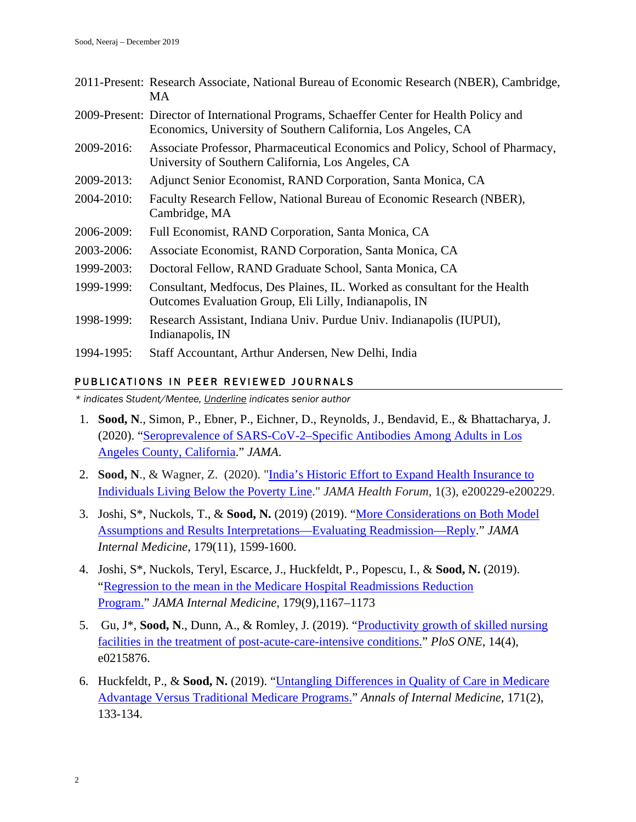|            | 2011-Present: Research Associate, National Bureau of Economic Research (NBER), Cambridge,<br>MA                                                           |
|------------|-----------------------------------------------------------------------------------------------------------------------------------------------------------|
|            | 2009-Present: Director of International Programs, Schaeffer Center for Health Policy and<br>Economics, University of Southern California, Los Angeles, CA |
| 2009-2016: | Associate Professor, Pharmaceutical Economics and Policy, School of Pharmacy,<br>University of Southern California, Los Angeles, CA                       |
| 2009-2013: | Adjunct Senior Economist, RAND Corporation, Santa Monica, CA                                                                                              |
| 2004-2010: | Faculty Research Fellow, National Bureau of Economic Research (NBER),<br>Cambridge, MA                                                                    |
| 2006-2009: | Full Economist, RAND Corporation, Santa Monica, CA                                                                                                        |
| 2003-2006: | Associate Economist, RAND Corporation, Santa Monica, CA                                                                                                   |
| 1999-2003: | Doctoral Fellow, RAND Graduate School, Santa Monica, CA                                                                                                   |
| 1999-1999: | Consultant, Medfocus, Des Plaines, IL. Worked as consultant for the Health<br>Outcomes Evaluation Group, Eli Lilly, Indianapolis, IN                      |
| 1998-1999: | Research Assistant, Indiana Univ. Purdue Univ. Indianapolis (IUPUI),<br>Indianapolis, IN                                                                  |
| 1994-1995: | Staff Accountant, Arthur Andersen, New Delhi, India                                                                                                       |

# PUBLICATIONS IN PEER REVIEWED JOURNALS

*\* indicates Student/Mentee, Underline indicates senior author*

- 1. **Sood, N**., Simon, P., Ebner, P., Eichner, D., Reynolds, J., Bendavid, E., & Bhattacharya, J. (2020). ["Seroprevalence of SARS-CoV-2–Specific Antibodies Among Adults in Los](https://jamanetwork.com/journals/jama/article-abstract/2766367)  [Angeles County, California.](https://jamanetwork.com/journals/jama/article-abstract/2766367)" *JAMA*.
- 2. **Sood, N**., & Wagner, Z. (2020). ["India's Historic Effort to Expand Health Insurance to](https://jamanetwork.com/channels/health-forum/fullarticle/2763530)  [Individuals Living Below the Poverty Line.](https://jamanetwork.com/channels/health-forum/fullarticle/2763530)" *JAMA Health Forum*, 1(3), e200229-e200229.
- 3. Joshi, S\*, Nuckols, T., & **Sood, N.** (2019) (2019). ["More Considerations on Both Model](https://jamanetwork.com/journals/jamainternalmedicine/article-abstract/2753714)  [Assumptions and Results Interpretations—Evaluating Readmission—Reply.](https://jamanetwork.com/journals/jamainternalmedicine/article-abstract/2753714)" *JAMA Internal Medicine*, 179(11), 1599-1600.
- 4. Joshi, S\*, Nuckols, Teryl, Escarce, J., Huckfeldt, P., Popescu, I., & **Sood, N.** (2019). ["Regression to the mean in the Medicare Hospital Readmissions Reduction](https://jamanetwork.com/journals/jamainternalmedicine/article-abstract/2737043)  [Program.](https://jamanetwork.com/journals/jamainternalmedicine/article-abstract/2737043)" *JAMA Internal Medicine*, 179(9),1167–1173
- 5. Gu, J\*, **Sood, N**., Dunn, A., & Romley, J. (2019). ["Productivity growth of skilled nursing](https://journals.plos.org/plosone/article?id=10.1371/journal.pone.0215876)  [facilities in the treatment of post-acute-care-intensive conditions.](https://journals.plos.org/plosone/article?id=10.1371/journal.pone.0215876)" *PloS ONE*, 14(4), e0215876.
- 6. Huckfeldt, P., & **Sood, N.** (2019). ["Untangling Differences in Quality of](https://annals.org/aim/fullarticle/2736922) Care in Medicare [Advantage Versus Traditional Medicare Programs.](https://annals.org/aim/fullarticle/2736922)" *Annals of Internal Medicine*, 171(2), 133-134.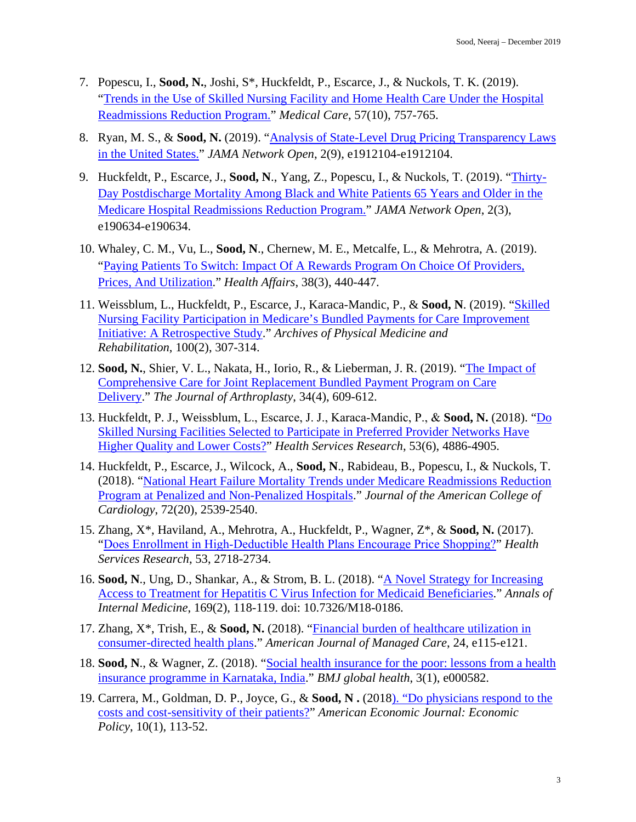- 7. Popescu, I., **Sood, N.**, Joshi, S\*, Huckfeldt, P., Escarce, J., & Nuckols, T. K. (2019). ["Trends in the Use of Skilled Nursing Facility and Home Health Care Under the Hospital](https://www.ingentaconnect.com/content/wk/mcar/2019/00000057/00000010/art00004)  [Readmissions Reduction Program.](https://www.ingentaconnect.com/content/wk/mcar/2019/00000057/00000010/art00004)" *Medical Care*, 57(10), 757-765.
- 8. Ryan, M. S., & **Sood, N.** (2019). ["Analysis of State-Level Drug Pricing Transparency Laws](https://jamanetwork.com/journals/jamanetworkopen/article-abstract/2751892)  [in the United States.](https://jamanetwork.com/journals/jamanetworkopen/article-abstract/2751892)" *JAMA Network Open*, 2(9), e1912104-e1912104.
- 9. Huckfeldt, P., Escarce, J., **Sood, N**., Yang, Z., Popescu, I., & Nuckols, T. (2019). ["Thirty-](https://jamanetwork.com/journals/jamanetworkopen/article-abstract/2728002)[Day Postdischarge Mortality Among Black and White Patients 65 Years and Older in the](https://jamanetwork.com/journals/jamanetworkopen/article-abstract/2728002)  [Medicare Hospital Readmissions Reduction Program.](https://jamanetwork.com/journals/jamanetworkopen/article-abstract/2728002)" *JAMA Network Open*, 2(3), e190634-e190634.
- 10. Whaley, C. M., Vu, L., **Sood, N**., Chernew, M. E., Metcalfe, L., & Mehrotra, A. (2019). ["Paying Patients To Switch: Impact Of A Rewards Program On Choice Of Providers,](https://www.healthaffairs.org/doi/full/10.1377/hlthaff.2018.05068)  [Prices, And Utilization.](https://www.healthaffairs.org/doi/full/10.1377/hlthaff.2018.05068)" *Health Affairs*, 38(3), 440-447.
- 11. Weissblum, L., Huckfeldt, P., Escarce, J., Karaca-Mandic, P., & **Sood, N**. (2019). ["Skilled](https://www.sciencedirect.com/science/article/pii/S0003999318313698)  [Nursing Facility Participation in Medicare's Bundled Payments for Care Improvement](https://www.sciencedirect.com/science/article/pii/S0003999318313698)  [Initiative: A Retrospective Study.](https://www.sciencedirect.com/science/article/pii/S0003999318313698)" *Archives of Physical Medicine and Rehabilitation*, 100(2), 307-314.
- 12. **Sood, N.**, Shier, V. L., Nakata, H., Iorio, R., & Lieberman, J. R. (2019). ["The Impact of](https://www.sciencedirect.com/science/article/pii/S0883540318311628)  [Comprehensive Care for Joint Replacement Bundled Payment Program on Care](https://www.sciencedirect.com/science/article/pii/S0883540318311628)  [Delivery.](https://www.sciencedirect.com/science/article/pii/S0883540318311628)" *The Journal of Arthroplasty*, 34(4), 609-612.
- 13. Huckfeldt, P. J., Weissblum, L., Escarce, J. J., Karaca‐Mandic, P., & **Sood, N.** (2018). ["Do](https://onlinelibrary.wiley.com/doi/full/10.1111/1475-6773.13027)  [Skilled Nursing Facilities Selected to Participate in Preferred Provider Networks Have](https://onlinelibrary.wiley.com/doi/full/10.1111/1475-6773.13027)  [Higher Quality and Lower Costs?"](https://onlinelibrary.wiley.com/doi/full/10.1111/1475-6773.13027) *Health Services Research*, 53(6), 4886-4905.
- 14. Huckfeldt, P., Escarce, J., Wilcock, A., **Sood, N**., Rabideau, B., Popescu, I., & Nuckols, T. (2018). ["National Heart Failure Mortality Trends under Medicare Readmissions Reduction](https://www.ncbi.nlm.nih.gov/pmc/articles/PMC6668997/)  [Program at Penalized and Non-Penalized Hospitals.](https://www.ncbi.nlm.nih.gov/pmc/articles/PMC6668997/)" *Journal of the American College of Cardiology*, 72(20), 2539-2540.
- 15. Zhang, X\*, Haviland, A., Mehrotra, A., Huckfeldt, P., Wagner, Z\*, & **Sood, N.** (2017). "[Does Enrollment in High‐Deductible Health Plans Encourage Price Shopping?](https://onlinelibrary.wiley.com/doi/full/10.1111/1475-6773.12784)" *Health Services Research*, 53, 2718-2734.
- 16. **Sood, N**., Ung, D., Shankar, A., & Strom, B. L. (2018). "A Novel Strategy for Increasing Access to Treatment for Hepatitis C Virus Infection for Medicaid Beneficiaries." *Annals of Internal Medicine*, 169(2), 118-119. doi: 10.7326/M18-0186.
- 17. Zhang, X\*, Trish, E., & **Sood, N.** (2018). ["Financial burden of healthcare utilization in](https://pdfs.semanticscholar.org/1fc9/10b1d8f5e237296b4384938d32bf56332951.pdf)  [consumer-directed health plans.](https://pdfs.semanticscholar.org/1fc9/10b1d8f5e237296b4384938d32bf56332951.pdf)" *American Journal of Managed Care*, 24, e115-e121.
- 18. **Sood, N**., & Wagner, Z. (2018). ["Social health insurance for the poor: lessons from a health](https://gh.bmj.com/content/3/1/e000582.abstract)  [insurance programme in Karnataka, India.](https://gh.bmj.com/content/3/1/e000582.abstract)" *BMJ global health*, 3(1), e000582.
- 19. Carrera, M., Goldman, D. P., Joyce, G., & **Sood, N .** (2018). ["Do physicians respond to the](https://www.aeaweb.org/articles?id=10.1257/pol.20150523)  [costs and cost-sensitivity of their patients?"](https://www.aeaweb.org/articles?id=10.1257/pol.20150523) *American Economic Journal: Economic Policy*, 10(1), 113-52.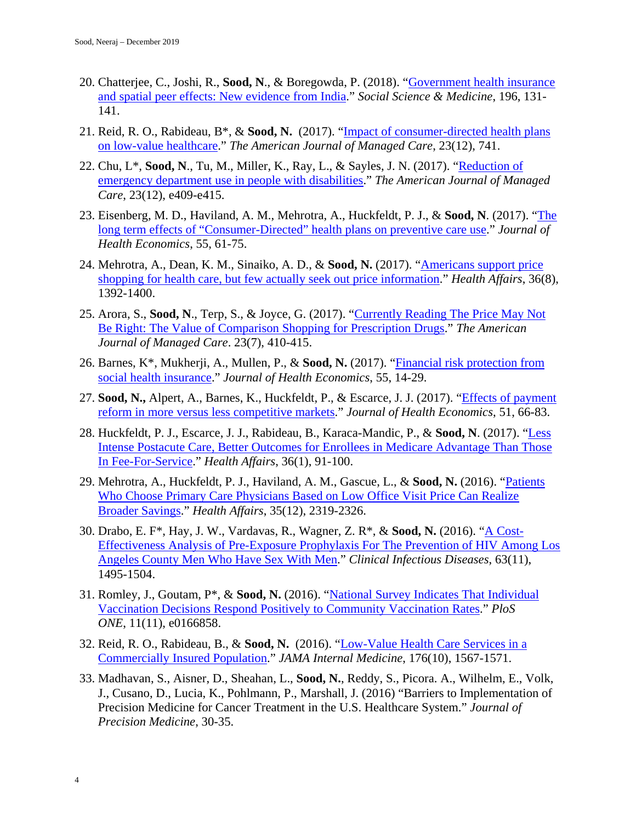- 20. Chatterjee, C., Joshi, R., **Sood, N**., & Boregowda, P. (2018). ["Government health insurance](https://www.sciencedirect.com/science/article/pii/S0277953617306858)  [and spatial peer effects: New evidence from India.](https://www.sciencedirect.com/science/article/pii/S0277953617306858)" *Social Science & Medicine*, 196, 131- 141.
- 21. Reid, R. O., Rabideau, B\*, & **Sood, N.** (2017). ["Impact of consumer-directed health plans](https://www.ncbi.nlm.nih.gov/pmc/articles/PMC6132267/)  [on low-value healthcare.](https://www.ncbi.nlm.nih.gov/pmc/articles/PMC6132267/)" *The American Journal of Managed Care*, 23(12), 741.
- 22. Chu, L\*, **Sood, N**., Tu, M., Miller, K., Ray, L., & Sayles, J. N. (2017). ["Reduction of](https://europepmc.org/article/med/29261247)  [emergency department use in people with disabilities.](https://europepmc.org/article/med/29261247)" *The American Journal of Managed Care*, 23(12), e409-e415.
- 23. Eisenberg, M. D., Haviland, A. M., Mehrotra, A., Huckfeldt, P. J., & **Sood, N**. (2017). ["The](https://www.sciencedirect.com/science/article/pii/S0167629616300753)  [long term effects of "Consumer-Directed" health plans on preventive care use.](https://www.sciencedirect.com/science/article/pii/S0167629616300753)" *Journal of Health Economics*, 55, 61-75.
- 24. Mehrotra, A., Dean, K. M., Sinaiko, A. D., & **Sood, N.** (2017). ["Americans support price](https://www.healthaffairs.org/doi/full/10.1377/hlthaff.2016.1471)  [shopping for health care, but few actually seek out price information.](https://www.healthaffairs.org/doi/full/10.1377/hlthaff.2016.1471)" *Health Affairs*, 36(8), 1392-1400.
- 25. Arora, S., **Sood, N**., Terp, S., & Joyce, G. (2017). ["Currently Reading The Price May Not](https://www.ajmc.com/journals/issue/2017/2017-vol23-n7/the-price-may-not-be-right-the-value-of-comparison-shopping-for-prescription-drugs?p=2)  [Be Right: The Value of Comparison Shopping for Prescription Drugs.](https://www.ajmc.com/journals/issue/2017/2017-vol23-n7/the-price-may-not-be-right-the-value-of-comparison-shopping-for-prescription-drugs?p=2)" *The American Journal of Managed Care*. 23(7), 410-415.
- 26. Barnes, K\*, Mukherji, A., Mullen, P., & **Sood, N.** (2017). ["Financial risk protection from](https://www.sciencedirect.com/science/article/pii/S0167629616301886)  [social health insurance.](https://www.sciencedirect.com/science/article/pii/S0167629616301886)" *Journal of Health Economics*, 55, 14-29.
- 27. **Sood, N.,** Alpert, A., Barnes, K., Huckfeldt, P., & Escarce, J. J. (2017). ["Effects of payment](https://www.sciencedirect.com/science/article/pii/S0167629616305318)  [reform in more versus less competitive markets.](https://www.sciencedirect.com/science/article/pii/S0167629616305318)" *Journal of Health Economics*, 51, 66-83.
- 28. Huckfeldt, P. J., Escarce, J. J., Rabideau, B., Karaca-Mandic, P., & **Sood, N**. (2017). ["Less](https://www.healthaffairs.org/doi/full/10.1377/hlthaff.2016.1027)  [Intense Postacute Care, Better Outcomes for Enrollees in Medicare Advantage Than Those](https://www.healthaffairs.org/doi/full/10.1377/hlthaff.2016.1027)  [In Fee-For-Service.](https://www.healthaffairs.org/doi/full/10.1377/hlthaff.2016.1027)" *Health Affairs*, 36(1), 91-100.
- 29. Mehrotra, A., Huckfeldt, P. J., Haviland, A. M., Gascue, L., & **Sood, N.** (2016). ["Patients](https://www.healthaffairs.org/doi/full/10.1377/hlthaff.2016.0408)  [Who Choose Primary Care Physicians Based on Low Office Visit Price Can Realize](https://www.healthaffairs.org/doi/full/10.1377/hlthaff.2016.0408)  [Broader Savings.](https://www.healthaffairs.org/doi/full/10.1377/hlthaff.2016.0408)" *Health Affairs*, 35(12), 2319-2326.
- 30. Drabo, E. F\*, Hay, J. W., Vardavas, R., Wagner, Z. R\*, & **Sood, N.** (2016). ["A Cost-](https://academic.oup.com/cid/article/63/11/1495/2526220)[Effectiveness Analysis of Pre-Exposure Prophylaxis For The Prevention of HIV Among Los](https://academic.oup.com/cid/article/63/11/1495/2526220)  [Angeles County Men Who Have Sex With Men.](https://academic.oup.com/cid/article/63/11/1495/2526220)" *Clinical Infectious Diseases*, 63(11), 1495-1504.
- 31. Romley, J., Goutam, P\*, & **Sood, N.** (2016). ["National Survey Indicates That Individual](https://journals.plos.org/plosone/article?id=10.1371/journal.pone.0166858)  [Vaccination Decisions Respond Positively to Community Vaccination Rates.](https://journals.plos.org/plosone/article?id=10.1371/journal.pone.0166858)" *PloS ONE*, 11(11), e0166858.
- 32. Reid, R. O., Rabideau, B., & **Sood, N.** (2016). ["Low-Value Health Care Services in a](https://jamanetwork.com/journals/jamainternalmedicine/article-abstract/2546154)  [Commercially Insured Population.](https://jamanetwork.com/journals/jamainternalmedicine/article-abstract/2546154)" *JAMA Internal Medicine*, 176(10), 1567-1571.
- 33. Madhavan, S., Aisner, D., Sheahan, L., **Sood, N.**, Reddy, S., Picora. A., Wilhelm, E., Volk, J., Cusano, D., Lucia, K., Pohlmann, P., Marshall, J. (2016) "Barriers to Implementation of Precision Medicine for Cancer Treatment in the U.S. Healthcare System." *Journal of Precision Medicine*, 30-35.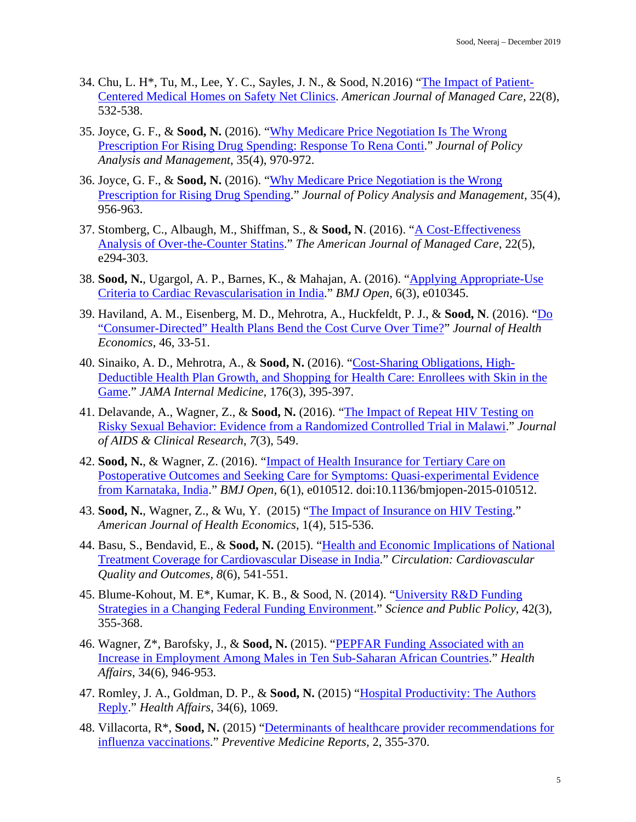- 34. Chu, L. H\*, Tu, M., Lee, Y. C., Sayles, J. N., & Sood, N.2016) ["The Impact of Patient-](https://www.ajmc.com/journals/issue/2016/2016-vol22-n8/the-impact-of-patient-centered-medical-homes-on-safety-net-clinics?p=5)[Centered Medical Homes on Safety](https://www.ajmc.com/journals/issue/2016/2016-vol22-n8/the-impact-of-patient-centered-medical-homes-on-safety-net-clinics?p=5) Net Clinics. *American Journal of Managed Care,* 22(8), 532-538.
- 35. Joyce, G. F., & **Sood, N.** (2016). ["Why Medicare Price Negotiation Is The Wrong](https://onlinelibrary.wiley.com/doi/full/10.1002/pam.21937)  [Prescription For Rising Drug Spending: Response To Rena Conti.](https://onlinelibrary.wiley.com/doi/full/10.1002/pam.21937)" *Journal of Policy Analysis and Management*, 35(4), 970-972.
- 36. Joyce, G. F., & **Sood, N.** (2016). ["Why Medicare Price Negotiation is the Wrong](https://onlinelibrary.wiley.com/doi/full/10.1002/pam.21935)  [Prescription for Rising Drug Spending.](https://onlinelibrary.wiley.com/doi/full/10.1002/pam.21935)" *Journal of Policy Analysis and Management*, 35(4), 956-963.
- 37. Stomberg, C., Albaugh, M., Shiffman, S., & **Sood, N**. (2016). ["A Cost-Effectiveness](https://europepmc.org/article/med/27266585)  [Analysis of Over-the-Counter Statins.](https://europepmc.org/article/med/27266585)" *The American Journal of Managed Care*, 22(5), e294-303.
- 38. **Sood, N.**, Ugargol, A. P., Barnes, K., & Mahajan, A. (2016). ["Applying Appropriate-Use](https://bmjopen.bmj.com/content/6/3/e010345?cpetoc=&utm_source=TrendMD&utm_medium=cpc&utm_campaign=BMJOp_TrendMD-1)  [Criteria to Cardiac Revascularisation in India.](https://bmjopen.bmj.com/content/6/3/e010345?cpetoc=&utm_source=TrendMD&utm_medium=cpc&utm_campaign=BMJOp_TrendMD-1)" *BMJ Open*, 6(3), e010345.
- 39. Haviland, A. M., Eisenberg, M. D., Mehrotra, A., Huckfeldt, P. J., & **Sood, N**. (2016). ["Do](https://www.sciencedirect.com/science/article/pii/S0167629616000023)  ["Consumer-Directed" Health Plans Bend the Cost Curve Over Time?"](https://www.sciencedirect.com/science/article/pii/S0167629616000023) *Journal of Health Economics*, 46, 33-51.
- 40. Sinaiko, A. D., Mehrotra, A., & **Sood, N.** (2016). ["Cost-Sharing Obligations, High-](https://jamanetwork.com/journals/jamainternalmedicine/article-abstract/2482348)[Deductible Health Plan Growth, and Shopping for Health Care: Enrollees with Skin in the](https://jamanetwork.com/journals/jamainternalmedicine/article-abstract/2482348)  [Game.](https://jamanetwork.com/journals/jamainternalmedicine/article-abstract/2482348)" *JAMA Internal Medicine*, 176(3), 395-397.
- 41. Delavande, A., Wagner, Z., & **Sood, N.** (2016). ["The Impact of Repeat HIV Testing on](https://www.ncbi.nlm.nih.gov/pmc/articles/PMC4857892/)  [Risky Sexual Behavior: Evidence from a Randomized Controlled Trial in Malawi.](https://www.ncbi.nlm.nih.gov/pmc/articles/PMC4857892/)" *Journal of AIDS & Clinical Research*, *7*(3), 549.
- 42. **Sood, N.**, & Wagner, Z. (2016). ["Impact of Health Insurance for Tertiary Care on](https://bmjopen.bmj.com/content/6/1/e010512?cpetoc=&utm_source=trendmd&utm_medium=cpc&utm_campaign=alljjs&utm_content=americas&utm_term=1-B)  [Postoperative Outcomes and Seeking Care for Symptoms: Quasi-experimental Evidence](https://bmjopen.bmj.com/content/6/1/e010512?cpetoc=&utm_source=trendmd&utm_medium=cpc&utm_campaign=alljjs&utm_content=americas&utm_term=1-B)  [from Karnataka, India.](https://bmjopen.bmj.com/content/6/1/e010512?cpetoc=&utm_source=trendmd&utm_medium=cpc&utm_campaign=alljjs&utm_content=americas&utm_term=1-B)" *BMJ Open*, 6(1), e010512. doi:10.1136/bmjopen-2015-010512.
- 43. **Sood, N.**, Wagner, Z., & Wu, Y. (2015) ["The Impact of Insurance on HIV Testing.](https://www.journals.uchicago.edu/doi/abs/10.1162/AJHE_a_00028)" *American Journal of Health Economics*, 1(4), 515-536.
- 44. Basu, S., Bendavid, E., & **Sood, N.** (2015). ["Health and Economic Implications of National](https://www.ahajournals.org/doi/full/10.1161/circoutcomes.115.001994)  [Treatment Coverage for Cardiovascular Disease in India.](https://www.ahajournals.org/doi/full/10.1161/circoutcomes.115.001994)" *Circulation: Cardiovascular Quality and Outcomes*, *8*(6), 541-551.
- 45. Blume-Kohout, M. E\*, Kumar, K. B., & Sood, N. (2014). ["University R&D Funding](https://academic.oup.com/spp/article/42/3/355/1629688)  [Strategies in a Changing Federal Funding Environment.](https://academic.oup.com/spp/article/42/3/355/1629688)" *Science and Public Policy*, 42(3), 355-368.
- 46. Wagner, Z\*, Barofsky, J., & **Sood, N.** (2015). ["PEPFAR Funding Associated with an](https://www.healthaffairs.org/doi/full/10.1377/hlthaff.2014.1006)  [Increase in Employment Among Males in Ten Sub-Saharan African Countries.](https://www.healthaffairs.org/doi/full/10.1377/hlthaff.2014.1006)" *Health Affairs*, 34(6), 946-953.
- 47. Romley, J. A., Goldman, D. P., & **Sood, N.** (2015) ["Hospital Productivity: The Authors](https://www.healthaffairs.org/doi/pdf/10.1377/hlthaff.2015.0455)  [Reply.](https://www.healthaffairs.org/doi/pdf/10.1377/hlthaff.2015.0455)" *Health Affairs*, 34(6), 1069.
- 48. Villacorta, R\*, **Sood, N.** (2015) "Determinants of healthcare [provider recommendations for](https://www.sciencedirect.com/science/article/pii/S2211335515000546)  [influenza vaccinations.](https://www.sciencedirect.com/science/article/pii/S2211335515000546)" *Preventive Medicine Reports,* 2, 355-370.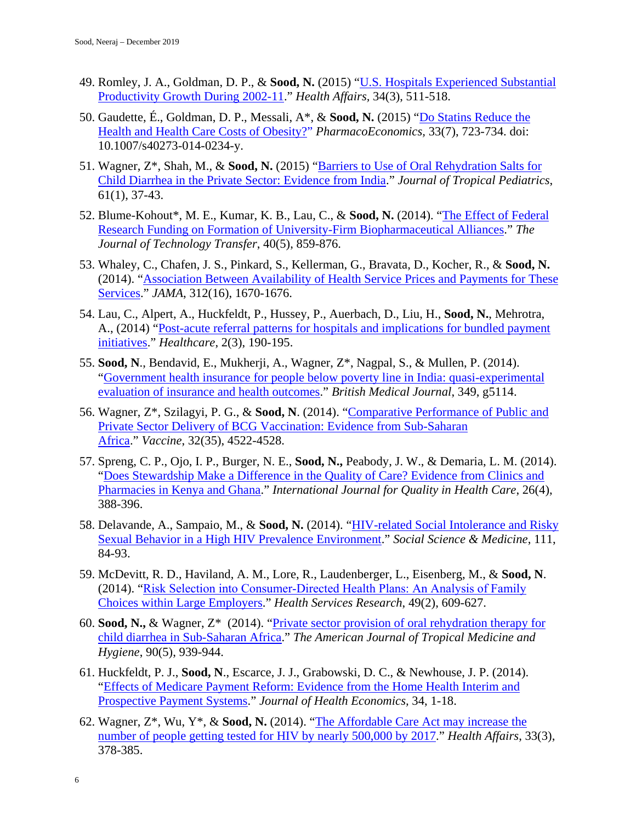- 49. Romley, J. A., Goldman, D. P., & **Sood, N.** (2015) "U.S. [Hospitals Experienced Substantial](https://www.healthaffairs.org/doi/full/10.1377/hlthaff.2014.0587) [Productivity Growth During 2002-11.](https://www.healthaffairs.org/doi/full/10.1377/hlthaff.2014.0587)" *Health Affairs,* 34(3), 511-518.
- 50. Gaudette, É., Goldman, D. P., Messali, A\*, & **Sood, N.** (2015) ["Do Statins Reduce the](https://link.springer.com/article/10.1007/s40273-014-0234-y)  [Health and Health Care Costs of Obesity?"](https://link.springer.com/article/10.1007/s40273-014-0234-y) *PharmacoEconomics,* 33(7), 723-734. doi: 10.1007/s40273-014-0234-y.
- 51. Wagner, Z\*, Shah, M., & **Sood, N.** (2015) ["Barriers to Use of Oral Rehydration Salts for](https://academic.oup.com/tropej/article/61/1/37/1646789)  [Child Diarrhea in the Private Sector: Evidence from India.](https://academic.oup.com/tropej/article/61/1/37/1646789)" *Journal of Tropical Pediatrics*, 61(1), 37-43.
- 52. Blume-Kohout\*, M. E., Kumar, K. B., Lau, C., & **Sood, N.** (2014). ["The Effect of Federal](https://link.springer.com/article/10.1007/s10961-014-9374-7)  [Research Funding on Formation of University-Firm Biopharmaceutical Alliances.](https://link.springer.com/article/10.1007/s10961-014-9374-7)" *The Journal of Technology Transfer*, 40(5), 859-876.
- 53. Whaley, C., Chafen, J. S., Pinkard, S., Kellerman, G., Bravata, D., Kocher, R., & **Sood, N.** (2014). ["Association Between Availability of Health Service Prices and Payments for These](https://jamanetwork.com/journals/jama/article-abstract/1917438)  [Services.](https://jamanetwork.com/journals/jama/article-abstract/1917438)" *JAMA*, 312(16), 1670-1676.
- 54. Lau, C., Alpert, A., Huckfeldt, P., Hussey, P., Auerbach, D., Liu, H., **Sood, N.**, Mehrotra, A., (2014) ["Post-acute referral patterns for hospitals and implications for bundled payment](https://www.sciencedirect.com/science/article/pii/S2213076414000414)  [initiatives.](https://www.sciencedirect.com/science/article/pii/S2213076414000414)" *Healthcare*, 2(3), 190-195.
- 55. **Sood, N**., Bendavid, E., Mukherji, A., Wagner, Z\*, Nagpal, S., & Mullen, P. (2014). ["Government health insurance for people below poverty line in India: quasi-experimental](https://www.bmj.com/content/349/bmj.g5114)  [evaluation of insurance and health outcomes.](https://www.bmj.com/content/349/bmj.g5114)" *British Medical Journal*, 349, g5114.
- 56. Wagner, Z\*, Szilagyi, P. G., & **Sood, N**. (2014). ["Comparative Performance of Public and](https://www.sciencedirect.com/science/article/pii/S0264410X14008093)  [Private Sector Delivery of BCG Vaccination: Evidence from Sub-Saharan](https://www.sciencedirect.com/science/article/pii/S0264410X14008093)  [Africa.](https://www.sciencedirect.com/science/article/pii/S0264410X14008093)" *Vaccine*, 32(35), 4522-4528.
- 57. Spreng, C. P., Ojo, I. P., Burger, N. E., **Sood, N.,** Peabody, J. W., & Demaria, L. M. (2014). ["Does Stewardship Make a Difference in the Quality of Care? Evidence from Clinics and](https://academic.oup.com/intqhc/article/26/4/388/1790026)  [Pharmacies in Kenya and Ghana.](https://academic.oup.com/intqhc/article/26/4/388/1790026)" *International Journal for Quality in Health Care*, 26(4), 388-396.
- 58. Delavande, A., Sampaio, M., & **Sood, N.** (2014). ["HIV-related Social Intolerance and Risky](https://www.sciencedirect.com/science/article/pii/S0277953614002354)  [Sexual Behavior in a High HIV Prevalence Environment.](https://www.sciencedirect.com/science/article/pii/S0277953614002354)" *Social Science & Medicine*, 111, 84-93.
- 59. McDevitt, R. D., Haviland, A. M., Lore, R., Laudenberger, L., Eisenberg, M., & **Sood, N**. (2014). "[Risk Selection into Consumer‐Directed Health Plans: An Analysis of Family](https://onlinelibrary.wiley.com/doi/full/10.1111/1475-6773.12121)  [Choices within Large Employers.](https://onlinelibrary.wiley.com/doi/full/10.1111/1475-6773.12121)" *Health Services Research*, 49(2), 609-627.
- 60. **Sood, N.,** & Wagner, Z\* (2014). ["Private sector provision of oral rehydration therapy for](https://www.ajtmh.org/content/journals/10.4269/ajtmh.13-0279)  [child diarrhea in Sub-Saharan Africa.](https://www.ajtmh.org/content/journals/10.4269/ajtmh.13-0279)" *The American Journal of Tropical Medicine and Hygiene*, 90(5), 939-944.
- 61. Huckfeldt, P. J., **Sood, N**., Escarce, J. J., Grabowski, D. C., & Newhouse, J. P. (2014). ["Effects of Medicare Payment Reform: Evidence from the Home Health Interim and](https://www.sciencedirect.com/science/article/pii/S0167629613001616)  [Prospective Payment Systems.](https://www.sciencedirect.com/science/article/pii/S0167629613001616)" *Journal of Health Economics,* 34, 1-18.
- 62. Wagner, Z\*, Wu, Y\*, & **Sood, N.** (2014). ["The Affordable Care Act may increase the](https://www.healthaffairs.org/doi/full/10.1377/hlthaff.2013.0996)  [number of people getting tested for HIV by nearly 500,000 by 2017.](https://www.healthaffairs.org/doi/full/10.1377/hlthaff.2013.0996)" *Health Affairs*, 33(3), 378-385.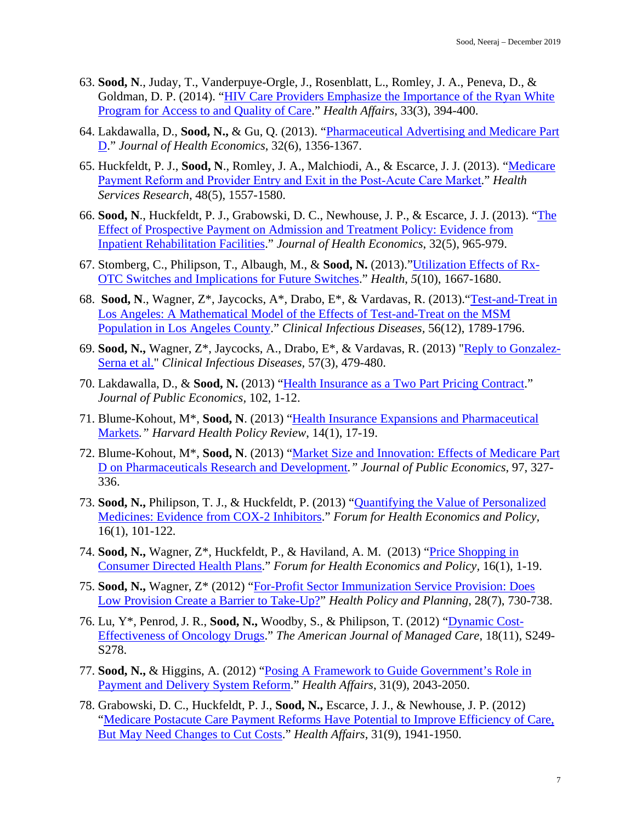- 63. **Sood, N**., Juday, T., Vanderpuye-Orgle, J., Rosenblatt, L., Romley, J. A., Peneva, D., & Goldman, D. P. (2014). ["HIV Care Providers Emphasize the Importance](https://www.healthaffairs.org/doi/full/10.1377/hlthaff.2013.1297) of the Ryan White [Program for Access to and Quality of Care.](https://www.healthaffairs.org/doi/full/10.1377/hlthaff.2013.1297)" *Health Affairs*, 33(3), 394-400.
- 64. Lakdawalla, D., **Sood, N.,** & Gu, Q. (2013). ["Pharmaceutical Advertising and Medicare Part](https://www.sciencedirect.com/science/article/pii/S0167629613000027)  [D.](https://www.sciencedirect.com/science/article/pii/S0167629613000027)" *Journal of Health Economics*, 32(6), 1356-1367.
- 65. Huckfeldt, P. J., **Sood, N**., Romley, J. A., Malchiodi, A., & Escarce, J. J. (2013). ["Medicare](https://onlinelibrary.wiley.com/doi/full/10.1111/1475-6773.12059)  [Payment Reform and Provider Entry and Exit in the Post‐Acute Care Market](https://onlinelibrary.wiley.com/doi/full/10.1111/1475-6773.12059)." *Health Services Research*, 48(5), 1557-1580.
- 66. **Sood, N**., Huckfeldt, P. J., Grabowski, D. C., Newhouse, J. P., & Escarce, J. J. (2013). ["The](https://www.sciencedirect.com/science/article/pii/S0167629613000726)  [Effect of Prospective Payment on Admission and Treatment Policy: Evidence from](https://www.sciencedirect.com/science/article/pii/S0167629613000726)  [Inpatient Rehabilitation Facilities.](https://www.sciencedirect.com/science/article/pii/S0167629613000726)" *Journal of Health Economics*, 32(5), 965-979.
- 67. Stomberg, C., Philipson, T., Albaugh, M., & **Sood, N.** (2013).["Utilization Effects of Rx-](https://file.scirp.org/pdf/Health_2013101113424898.pdf)[OTC Switches and Implications for Future Switches.](https://file.scirp.org/pdf/Health_2013101113424898.pdf)" *Health*, *5*(10), 1667-1680.
- 68. **Sood, N**., Wagner, Z\*, Jaycocks, A\*, Drabo, E\*, & Vardavas, R. (2013).["Test-and-Treat in](https://academic.oup.com/cid/article/56/12/1789/404131)  [Los Angeles: A Mathematical Model of the Effects of Test-and-Treat on the MSM](https://academic.oup.com/cid/article/56/12/1789/404131)  [Population in Los Angeles County.](https://academic.oup.com/cid/article/56/12/1789/404131)" *Clinical Infectious Diseases,* 56(12), 1789-1796.
- 69. **Sood, N.,** Wagner, Z\*, Jaycocks, A., Drabo, E\*, & Vardavas, R. (2013) ["Reply to Gonzalez-](https://academic.oup.com/cid/article/57/3/479/461796)[Serna et al."](https://academic.oup.com/cid/article/57/3/479/461796) *Clinical Infectious Diseases,* 57(3), 479-480.
- 70. Lakdawalla, D., & **Sood, N.** (2013) ["Health Insurance as a Two Part Pricing Contract.](https://www.sciencedirect.com/science/article/pii/S0047272713000492)" *Journal of Public Economics,* 102, 1-12.
- 71. Blume-Kohout, M\*, **Sood, N**. (2013) ["Health Insurance Expansions and Pharmaceutical](http://eds.b.ebscohost.com/abstract?site=eds&scope=site&jrnl=1533774X&AN=95059011&h=%2b%2fMX%2fbBEx0wPekzjnB35%2b0NAL8WWeh37ShTjIdf8axc9hkzXykOjb6Bhg6iRNTO8h05jgIzFhF2vsYFxNzxoqQ%3d%3d&crl=c&resultLocal=ErrCrlNoResults&resultNs=Ehost&crlhashurl=login.aspx%3fdirect%3dtrue%26profile%3dehost%26scope%3dsite%26authtype%3dcrawler%26jrnl%3d1533774X%26AN%3d95059011)  [Markets](http://eds.b.ebscohost.com/abstract?site=eds&scope=site&jrnl=1533774X&AN=95059011&h=%2b%2fMX%2fbBEx0wPekzjnB35%2b0NAL8WWeh37ShTjIdf8axc9hkzXykOjb6Bhg6iRNTO8h05jgIzFhF2vsYFxNzxoqQ%3d%3d&crl=c&resultLocal=ErrCrlNoResults&resultNs=Ehost&crlhashurl=login.aspx%3fdirect%3dtrue%26profile%3dehost%26scope%3dsite%26authtype%3dcrawler%26jrnl%3d1533774X%26AN%3d95059011)*." Harvard Health Policy Review*, 14(1), 17-19.
- 72. Blume-Kohout, M\*, **Sood, N**. (2013) ["Market Size and Innovation: Effects of Medicare Part](https://www.sciencedirect.com/science/article/pii/S0047272712001119)  [D on Pharmaceuticals Research and Development](https://www.sciencedirect.com/science/article/pii/S0047272712001119)*." Journal of Public Economics*, 97, 327- 336.
- 73. **Sood, N.,** Philipson, T. J., & Huckfeldt, P. (2013) ["Quantifying the Value of Personalized](https://www.degruyter.com/view/j/fhep.2013.16.issue-1/fhep-2013-0005/fhep-2013-0005.xml)  [Medicines: Evidence from COX-2 Inhibitors.](https://www.degruyter.com/view/j/fhep.2013.16.issue-1/fhep-2013-0005/fhep-2013-0005.xml)" *Forum for Health Economics and Policy,*  16(1), 101-122*.*
- 74. **Sood, N.,** Wagner, Z\*, Huckfeldt, P., & Haviland, A. M. (2013) ["Price Shopping in](https://www.degruyter.com/view/j/fhep.2013.16.issue-1/fhep-2012-0028/fhep-2012-0028.xml)  [Consumer Directed Health Plans.](https://www.degruyter.com/view/j/fhep.2013.16.issue-1/fhep-2012-0028/fhep-2012-0028.xml)" *Forum for Health Economics and Policy,* 16(1), 1-19.
- 75. **Sood, N.,** Wagner, Z\* (2012) ["For-Profit Sector Immunization Service Provision: Does](https://academic.oup.com/heapol/article/28/7/730/822813)  [Low Provision Create a Barrier to Take-Up?"](https://academic.oup.com/heapol/article/28/7/730/822813) *Health Policy and Planning*, 28(7), 730-738.
- 76. Lu, Y\*, Penrod, J. R., **Sood, N.,** Woodby, S., & Philipson, T. (2012) ["Dynamic Cost-](https://europepmc.org/article/med/23327456)[Effectiveness of Oncology Drugs.](https://europepmc.org/article/med/23327456)" *The American Journal of Managed Care*, 18(11), S249- S278.
- 77. **Sood, N.,** & Higgins, A. (2012) ["Posing A Framework to Guide Government's Role in](https://www.healthaffairs.org/doi/full/10.1377/hlthaff.2012.0382)  [Payment and Delivery System Reform.](https://www.healthaffairs.org/doi/full/10.1377/hlthaff.2012.0382)" *Health Affairs*, 31(9), 2043-2050.
- 78. Grabowski, D. C., Huckfeldt, P. J., **Sood, N.,** Escarce, J. J., & Newhouse, J. P. (2012) ["Medicare Postacute Care Payment Reforms Have Potential to Improve Efficiency of Care,](https://www.healthaffairs.org/doi/full/10.1377/hlthaff.2012.0351)  [But May Need Changes to Cut Costs.](https://www.healthaffairs.org/doi/full/10.1377/hlthaff.2012.0351)" *Health Affairs*, 31(9), 1941-1950.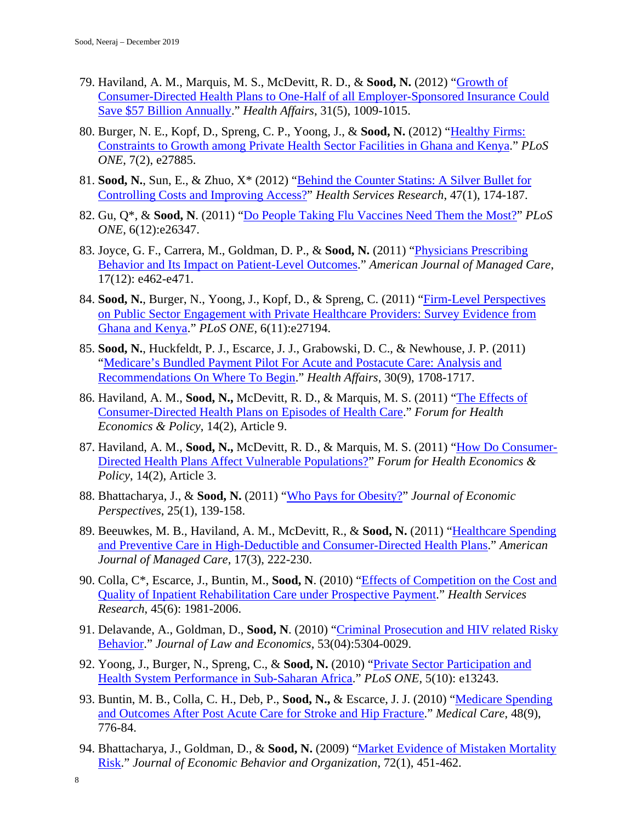- 79. Haviland, A. M., Marquis, M. S., McDevitt, R. D., & **Sood, N.** (2012) ["Growth of](https://www.healthaffairs.org/doi/full/10.1377/hlthaff.2011.0369)  [Consumer-Directed Health Plans to One-Half of all Employer-Sponsored Insurance Could](https://www.healthaffairs.org/doi/full/10.1377/hlthaff.2011.0369)  [Save \\$57 Billion Annually.](https://www.healthaffairs.org/doi/full/10.1377/hlthaff.2011.0369)" *Health Affairs*, 31(5), 1009-1015.
- 80. Burger, N. E., Kopf, D., Spreng, C. P., Yoong, J., & **Sood, N.** (2012) ["Healthy Firms:](https://journals.plos.org/plosone/article?id=10.1371/journal.pone.0027885)  [Constraints to Growth among Private Health Sector Facilities in Ghana and Kenya.](https://journals.plos.org/plosone/article?id=10.1371/journal.pone.0027885)" *PLoS ONE*, 7(2), e27885.
- 81. **Sood, N.**, Sun, E., & Zhuo, X\* (2012) ["Behind the Counter Statins: A Silver Bullet for](https://onlinelibrary.wiley.com/doi/full/10.1111/j.1475-6773.2011.01315.x)  [Controlling Costs and Improving Access?"](https://onlinelibrary.wiley.com/doi/full/10.1111/j.1475-6773.2011.01315.x) *Health Services Research*, 47(1), 174-187.
- 82. Gu, Q\*, & **Sood, N**. (2011) ["Do People Taking Flu Vaccines Need Them the Most?"](https://journals.plos.org/plosone/article?id=10.1371/journal.pone.0026347) *PLoS ONE*, 6(12):e26347.
- 83. Joyce, G. F., Carrera, M., Goldman, D. P., & **Sood, N.** (2011) ["Physicians Prescribing](https://www.ncbi.nlm.nih.gov/pmc/articles/PMC3782257/)  [Behavior and Its Impact on Patient-Level Outcomes.](https://www.ncbi.nlm.nih.gov/pmc/articles/PMC3782257/)" *American Journal of Managed Care*, 17(12): e462-e471.
- 84. **Sood, N.**, Burger, N., Yoong, J., Kopf, D., & Spreng, C. (2011) ["Firm-Level Perspectives](https://journals.plos.org/plosone/article?id=10.1371/journal.pone.0027194)  [on Public Sector Engagement with Private Healthcare Providers: Survey Evidence from](https://journals.plos.org/plosone/article?id=10.1371/journal.pone.0027194)  [Ghana and Kenya.](https://journals.plos.org/plosone/article?id=10.1371/journal.pone.0027194)" *PLoS ONE*, 6(11):e27194.
- 85. **Sood, N.**, Huckfeldt, P. J., Escarce, J. J., Grabowski, D. C., & Newhouse, J. P. (2011) ["Medicare's Bundled Payment Pilot For Acute and Postacute Care: Analysis and](https://www.healthaffairs.org/doi/full/10.1377/hlthaff.2010.0394)  [Recommendations On Where To Begin.](https://www.healthaffairs.org/doi/full/10.1377/hlthaff.2010.0394)" *Health Affairs*, 30(9), 1708-1717.
- 86. Haviland, A. M., **Sood, N.,** McDevitt, R. D., & Marquis, M. S. (2011) ["The Effects of](https://www.degruyter.com/view/j/fhep.2011.14.issue-2/1558-9544.1258/1558-9544.1258.xml)  [Consumer-Directed Health Plans on Episodes of Health Care.](https://www.degruyter.com/view/j/fhep.2011.14.issue-2/1558-9544.1258/1558-9544.1258.xml)" *Forum for Health Economics & Policy*, 14(2), Article 9.
- 87. Haviland, A. M., **Sood, N.,** McDevitt, R. D., & Marquis, M. S. (2011) ["How Do Consumer-](https://www.degruyter.com/view/j/fhep.2011.14.issue-2/fhep.2011.14.2.1248/fhep.2011.14.2.1248.xml)[Directed Health Plans Affect Vulnerable Populations?"](https://www.degruyter.com/view/j/fhep.2011.14.issue-2/fhep.2011.14.2.1248/fhep.2011.14.2.1248.xml) *Forum for Health Economics & Policy*, 14(2), Article 3.
- 88. Bhattacharya, J., & **Sood, N.** (2011) ["Who Pays for Obesity?"](https://www.aeaweb.org/articles?id=10.1257/jep.25.1.139) *Journal of Economic Perspectives*, 25(1), 139-158.
- 89. Beeuwkes, M. B., Haviland, A. M., McDevitt, R., & **Sood, N.** (2011) ["Healthcare Spending](https://europepmc.org/article/med/21504258)  [and Preventive Care in High-Deductible and Consumer-Directed Health Plans.](https://europepmc.org/article/med/21504258)" *American Journal of Managed Care*, 17(3), 222-230.
- 90. Colla, C\*, Escarce, J., Buntin, M., **Sood, N**. (2010) ["Effects of Competition on the Cost and](https://onlinelibrary.wiley.com/doi/full/10.1111/j.1475-6773.2010.01190.x)  [Quality of Inpatient Rehabilitation Care under Prospective](https://onlinelibrary.wiley.com/doi/full/10.1111/j.1475-6773.2010.01190.x) Payment." *Health Services Research*, 45(6): 1981-2006.
- 91. Delavande, A., Goldman, D., **Sood, N**. (2010) ["Criminal Prosecution and HIV related Risky](https://www.nber.org/papers/w12903)  [Behavior.](https://www.nber.org/papers/w12903)" *Journal of Law and Economics*, 53(04):5304-0029.
- 92. Yoong, J., Burger, N., Spreng, C., & **Sood, N.** (2010) ["Private Sector Participation and](https://journals.plos.org/plosone/article?id=10.1371/journal.pone.0013243)  [Health System Performance in Sub-Saharan Africa.](https://journals.plos.org/plosone/article?id=10.1371/journal.pone.0013243)" *PLoS ONE*, 5(10): e13243.
- 93. Buntin, M. B., Colla, C. H., Deb, P., **Sood, N.,** & Escarce, J. J. (2010) ["Medicare Spending](https://www.ncbi.nlm.nih.gov/pmc/articles/PMC3627731/)  [and Outcomes After Post Acute Care for Stroke and Hip Fracture.](https://www.ncbi.nlm.nih.gov/pmc/articles/PMC3627731/)" *Medical Care*, 48(9), 776-84.
- 94. Bhattacharya, J., Goldman, D., & **Sood, N.** (2009) ["Market Evidence of Mistaken Mortality](https://www.nber.org/papers/w9863)  [Risk.](https://www.nber.org/papers/w9863)" *Journal of Economic Behavior and Organization*, 72(1), 451-462.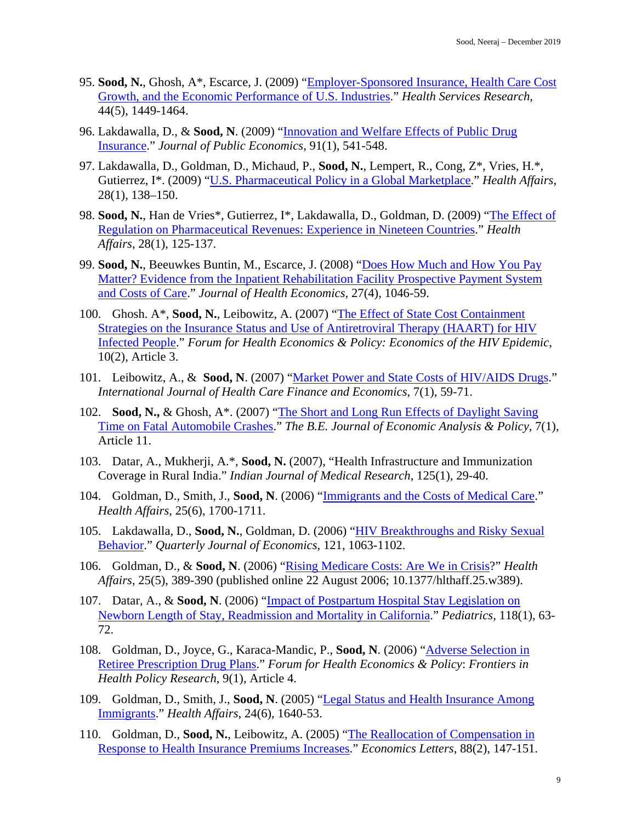- 95. **Sood, N.**, Ghosh, A\*, Escarce, J. (2009) ["Employer-Sponsored Insurance, Health Care Cost](https://onlinelibrary.wiley.com/doi/full/10.1111/j.1475-6773.2009.00985.x)  [Growth, and the Economic Performance of U.S. Industries.](https://onlinelibrary.wiley.com/doi/full/10.1111/j.1475-6773.2009.00985.x)" *Health Services Research*, 44(5), 1449-1464.
- 96. Lakdawalla, D., & **Sood, N**. (2009) ["Innovation and Welfare Effects of Public Drug](https://www.sciencedirect.com/science/article/pii/S0047272708001783)  [Insurance.](https://www.sciencedirect.com/science/article/pii/S0047272708001783)" *Journal of Public Economics*, 91(1), 541-548.
- 97. Lakdawalla, D., Goldman, D., Michaud, P., **Sood, N.**, Lempert, R., Cong, Z\*, Vries, H.\*, Gutierrez, I\*. (2009) ["U.S. Pharmaceutical Policy in a Global Marketplace.](https://www.healthaffairs.org/doi/full/10.1377/hlthaff.28.1.w138)" *Health Affairs*, 28(1), 138–150.
- 98. **Sood, N.**, Han de Vries\*, Gutierrez, I\*, Lakdawalla, D., Goldman, D. (2009) ["The Effect of](https://www.healthaffairs.org/doi/full/10.1377/hlthaff.28.1.w125)  [Regulation on Pharmaceutical Revenues: Experience in Nineteen Countries.](https://www.healthaffairs.org/doi/full/10.1377/hlthaff.28.1.w125)" *Health Affairs*, 28(1), 125-137.
- 99. **Sood, N.**, Beeuwkes Buntin, M., Escarce, J. (2008) ["Does How Much and How You Pay](https://www.sciencedirect.com/science/article/pii/S0167629608000064)  [Matter? Evidence from the Inpatient Rehabilitation Facility Prospective Payment System](https://www.sciencedirect.com/science/article/pii/S0167629608000064)  [and Costs of Care.](https://www.sciencedirect.com/science/article/pii/S0167629608000064)" *Journal of Health Economics*, 27(4), 1046-59.
- 100. Ghosh. A\*, **Sood, N.**, Leibowitz, A. (2007) ["The Effect of State Cost Containment](https://www.degruyter.com/view/j/fhep.2007.10.2/fhep.2007.10.2.1078/fhep.2007.10.2.1078.xml)  [Strategies on the Insurance Status and Use of Antiretroviral Therapy \(HAART\) for HIV](https://www.degruyter.com/view/j/fhep.2007.10.2/fhep.2007.10.2.1078/fhep.2007.10.2.1078.xml)  [Infected People.](https://www.degruyter.com/view/j/fhep.2007.10.2/fhep.2007.10.2.1078/fhep.2007.10.2.1078.xml)" *Forum for Health Economics & Policy: Economics of the HIV Epidemic*, 10(2), Article 3.
- 101. Leibowitz, A., & **Sood, N**. (2007) ["Market Power and State Costs of HIV/AIDS Drugs.](https://link.springer.com/article/10.1007/s10754-007-9012-0)" *International Journal of Health Care Finance and Economics*, 7(1), 59-71.
- 102. **Sood, N.,** & Ghosh, A\*. (2007) ["The Short and Long Run Effects of Daylight Saving](https://www.degruyter.com/view/j/bejeap.2007.7.1/bejeap.2007.7.1.1618/bejeap.2007.7.1.1618.xml)  [Time on Fatal Automobile Crashes.](https://www.degruyter.com/view/j/bejeap.2007.7.1/bejeap.2007.7.1.1618/bejeap.2007.7.1.1618.xml)" *The B.E. Journal of Economic Analysis & Policy*, 7(1), Article 11.
- 103. Datar, A., Mukherji, A.\*, **Sood, N.** (2007), "Health Infrastructure and Immunization Coverage in Rural India." *Indian Journal of Medical Research*, 125(1), 29-40.
- 104. Goldman, D., Smith, J., **Sood, N**. (2006) ["Immigrants and the Costs of Medical Care.](https://www.healthaffairs.org/doi/full/10.1377/hlthaff.25.6.1700)" *Health Affairs*, 25(6), 1700-1711.
- 105. Lakdawalla, D., **Sood, N.**, Goldman, D. (2006) ["HIV Breakthroughs and Risky Sexual](https://academic.oup.com/qje/article/121/3/1063/1917864)  [Behavior.](https://academic.oup.com/qje/article/121/3/1063/1917864)" *Quarterly Journal of Economics*, 121, 1063-1102.
- 106. Goldman, D., & **Sood, N**. (2006) ["Rising Medicare Costs: Are We in Crisis?](https://www.healthaffairs.org/doi/full/10.1377/hlthaff.25.w389)" *Health Affairs*, 25(5), 389-390 (published online 22 August 2006; 10.1377/hlthaff.25.w389).
- 107. Datar, A., & **Sood, N**. (2006) ["Impact of Postpartum Hospital Stay Legislation on](https://pediatrics.aappublications.org/content/118/1/63.short)  [Newborn Length of Stay, Readmission and Mortality in California.](https://pediatrics.aappublications.org/content/118/1/63.short)" *Pediatrics*, 118(1), 63- 72.
- 108. Goldman, D., Joyce, G., Karaca-Mandic, P., **Sood, N**. (2006) ["Adverse Selection in](https://www.degruyter.com/view/j/fhep.2006.9.1/fhep.2006.9.1.1062/fhep.2006.9.1.1062.xml)  [Retiree Prescription Drug Plans.](https://www.degruyter.com/view/j/fhep.2006.9.1/fhep.2006.9.1.1062/fhep.2006.9.1.1062.xml)" *Forum for Health Economics & Policy*: *Frontiers in Health Policy Research*, 9(1), Article 4.
- 109. Goldman, D., Smith, J., **Sood, N**. (2005) ["Legal Status and Health Insurance Among](https://www.healthaffairs.org/doi/full/10.1377/hlthaff.24.6.1640)  [Immigrants.](https://www.healthaffairs.org/doi/full/10.1377/hlthaff.24.6.1640)" *Health Affairs*, 24(6), 1640-53.
- 110. Goldman, D., **Sood, N.**, Leibowitz, A. (2005) ["The Reallocation of Compensation in](https://www.sciencedirect.com/science/article/pii/S0165176505000972)  [Response to Health Insurance Premiums](https://www.sciencedirect.com/science/article/pii/S0165176505000972) Increases." *Economics Letters*, 88(2), 147-151.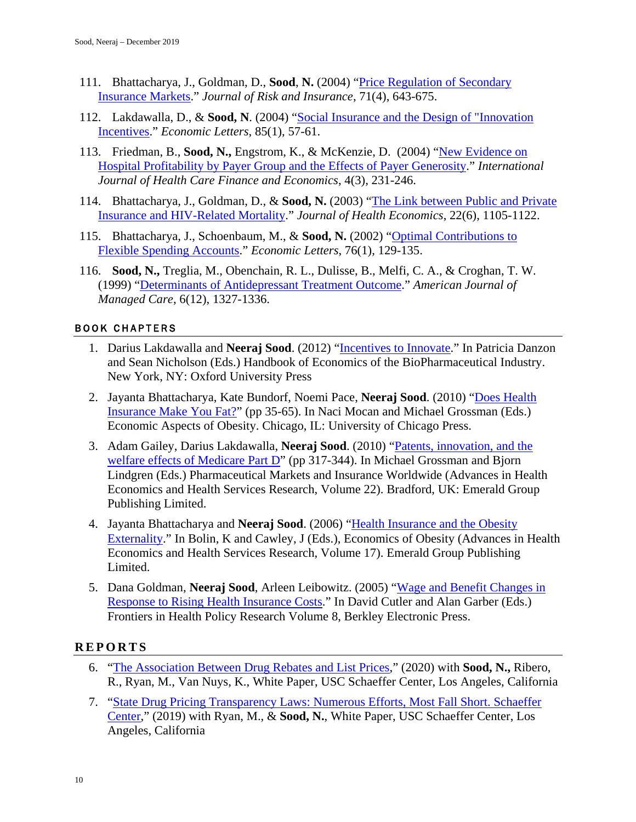- 111. Bhattacharya, J., Goldman, D., **Sood**, **N.** (2004) ["Price Regulation of Secondary](https://onlinelibrary.wiley.com/doi/full/10.1111/j.0022-4367.2004.00107.x)  [Insurance Markets.](https://onlinelibrary.wiley.com/doi/full/10.1111/j.0022-4367.2004.00107.x)" *Journal of Risk and Insurance*, 71(4), 643-675.
- 112. Lakdawalla, D., & **Sood, N**. (2004) ["Social Insurance and the Design of "Innovation](https://www.sciencedirect.com/science/article/pii/S0165176504001363)  [Incentives.](https://www.sciencedirect.com/science/article/pii/S0165176504001363)" *Economic Letters*, 85(1), 57-61.
- 113. Friedman, B., **Sood, N.,** Engstrom, K., & McKenzie, D. (2004) ["New Evidence on](https://link.springer.com/article/10.1023/B:IHFE.0000036048.26098.9d)  [Hospital Profitability by Payer Group](https://link.springer.com/article/10.1023/B:IHFE.0000036048.26098.9d) and the Effects of Payer Generosity." *International Journal of Health Care Finance and Economics*, 4(3), 231-246.
- 114. Bhattacharya, J., Goldman, D., & **Sood, N.** (2003) ["The Link between Public and Private](https://www.sciencedirect.com/science/article/pii/S0167629603000742) [Insurance and HIV-Related Mortality.](https://www.sciencedirect.com/science/article/pii/S0167629603000742)" *Journal of Health Economics*, 22(6), 1105-1122.
- 115. Bhattacharya, J., Schoenbaum, M., & **Sood, N.** (2002) ["Optimal Contributions to](https://www.sciencedirect.com/science/article/pii/S016517650200037X)  [Flexible Spending Accounts.](https://www.sciencedirect.com/science/article/pii/S016517650200037X)" *Economic Letters*, 76(1), 129-135.
- 116. **Sood, N.,** Treglia, M., Obenchain, R. L., Dulisse, B., Melfi, C. A., & Croghan, T. W. (1999) ["Determinants of Antidepressant Treatment Outcome.](https://s3.amazonaws.com/academia.edu.documents/41185806/Determinants_of_antidepressant_treatment20160115-14672-1k6huin.pdf?response-content-disposition=inline%3B%20filename%3DDeterminants_of_antidepressant_treatment.pdf&X-Amz-Algorithm=AWS4-HMAC-SHA256&X-Amz-Credential=AKIAIWOWYYGZ2Y53UL3A%2F20200108%2Fus-east-1%2Fs3%2Faws4_request&X-Amz-Date=20200108T204555Z&X-Amz-Expires=3600&X-Amz-SignedHeaders=host&X-Amz-Signature=390da10711a3aeae6423efab430f4eb3398babfecf98338b3d8a9e3c92a72f00)" *American Journal of Managed Care*, 6(12), 1327-1336.

# BOOK CHAPTERS

- 1. Darius Lakdawalla and **Neeraj Sood**. (2012) ["Incentives to Innovate.](https://books.google.com/books?hl=en&lr=&id=UMhpAgAAQBAJ&oi=fnd&pg=PA143&dq=Incentives+to+Innovate+neeraj&ots=rUz_rcX1qb&sig=PG_u803Ze84b3_Osw1xntThaejY#v=onepage&q=Incentives%20to%20Innovate%20neeraj&f=false)" In Patricia Danzon and Sean Nicholson (Eds.) Handbook of Economics of the BioPharmaceutical Industry. New York, NY: Oxford University Press
- 2. Jayanta Bhattacharya, Kate Bundorf, Noemi Pace, **Neeraj Sood**. (2010) ["Does Health](https://www.nber.org/papers/w15163)  [Insurance Make You Fat?"](https://www.nber.org/papers/w15163) (pp 35-65). In Naci Mocan and Michael Grossman (Eds.) Economic Aspects of Obesity. Chicago, IL: University of Chicago Press.
- 3. Adam Gailey, Darius Lakdawalla, **Neeraj Sood**. (2010) ["Patents, innovation, and the](https://www.emerald.com/insight/content/doi/10.1108/S0731-2199(2010)0000022017/full/html)  [welfare effects of Medicare Part D"](https://www.emerald.com/insight/content/doi/10.1108/S0731-2199(2010)0000022017/full/html) (pp 317-344). In Michael Grossman and Bjorn Lindgren (Eds.) Pharmaceutical Markets and Insurance Worldwide (Advances in Health Economics and Health Services Research, Volume 22). Bradford, UK: Emerald Group Publishing Limited.
- 4. Jayanta Bhattacharya and **Neeraj Sood**. (2006) ["Health Insurance and the Obesity](https://www.emerald.com/insight/content/doi/10.1016/S0731-2199(06)17011-9/full/html)  [Externality.](https://www.emerald.com/insight/content/doi/10.1016/S0731-2199(06)17011-9/full/html)" In Bolin, K and Cawley, J (Eds.), Economics of Obesity (Advances in Health Economics and Health Services Research, Volume 17). Emerald Group Publishing Limited.
- 5. Dana Goldman, **Neeraj Sood**, Arleen Leibowitz. (2005) ["Wage and Benefit Changes in](https://www.degruyter.com/view/j/fhep.2005.8.1/fhep.2005.8.1.1011/fhep.2005.8.1.1011.xml)  [Response to Rising Health Insurance Costs.](https://www.degruyter.com/view/j/fhep.2005.8.1/fhep.2005.8.1.1011/fhep.2005.8.1.1011.xml)" In David Cutler and Alan Garber (Eds.) Frontiers in Health Policy Research Volume 8, Berkley Electronic Press.

# **R EPORTS**

- 6. ["The Association Between Drug Rebates and List Prices,](https://healthpolicy.usc.edu/research/the-association-between-drug-rebates-and-list-prices/)" (2020) with **Sood, N.,** Ribero, R., Ryan, M., Van Nuys, K., White Paper, USC Schaeffer Center, Los Angeles, California
- 7. ["State Drug Pricing Transparency Laws: Numerous Efforts, Most Fall Short. Schaeffer](https://healthpolicy.usc.edu/wp-content/uploads/2019/09/State_Drug_Transparency_White_Paper_FINAL.pdf)  [Center,](https://healthpolicy.usc.edu/wp-content/uploads/2019/09/State_Drug_Transparency_White_Paper_FINAL.pdf)" (2019) with Ryan, M., & **Sood, N.**, White Paper, USC Schaeffer Center, Los Angeles, California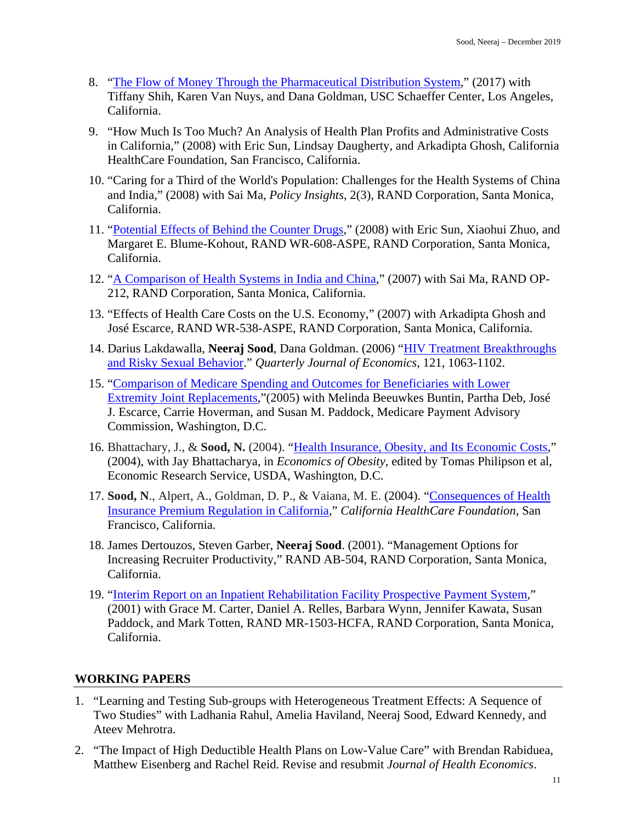- 8. ["The Flow of Money Through the Pharmaceutical Distribution System,](https://healthpolicy.usc.edu/wp-content/uploads/2017/06/USC_Flow-of-MoneyWhitePaper_Final_Spreads.pdf)" (2017) with Tiffany Shih, Karen Van Nuys, and Dana Goldman, USC Schaeffer Center, Los Angeles, California.
- 9. "How Much Is Too Much? An Analysis of Health Plan Profits and Administrative Costs in California," (2008) with Eric Sun, Lindsay Daugherty, and Arkadipta Ghosh, California HealthCare Foundation, San Francisco, California.
- 10. "Caring for a Third of the World's Population: Challenges for the Health Systems of China and India," (2008) with Sai Ma, *Policy Insights*, 2(3), RAND Corporation, Santa Monica, California.
- 11. ["Potential Effects of Behind the Counter Drugs,](https://www.rand.org/content/dam/rand/pubs/working_papers/2008/RAND_WR608.pdf)" (2008) with Eric Sun, Xiaohui Zhuo, and Margaret E. Blume-Kohout, RAND WR-608-ASPE, RAND Corporation, Santa Monica, California.
- 12. ["A Comparison of Health Systems in India and China,](https://books.google.com/books?hl=en&lr=&id=gNw7X_cEAswC&oi=fnd&pg=PP2&dq=A+Comparison+of+Health+Systems+in+India+and+China&ots=v5QPhWfoIH&sig=yHSLyZIbVgfUYjBBIbIUpNI1Ixo#v=onepage&q=A%20Comparison%20of%20Health%20Systems%20in%20India%20and%20China&f=false)" (2007) with Sai Ma, RAND OP-212, RAND Corporation, Santa Monica, California.
- 13. "Effects of Health Care Costs on the U.S. Economy," (2007) with Arkadipta Ghosh and José Escarce, RAND WR-538-ASPE, RAND Corporation, Santa Monica, California.
- 14. Darius Lakdawalla, **Neeraj Sood**, Dana Goldman. (2006) ["HIV Treatment Breakthroughs](https://academic.oup.com/qje/article/121/3/1063/1917864)  [and Risky Sexual Behavior.](https://academic.oup.com/qje/article/121/3/1063/1917864)" *Quarterly Journal of Economics*, 121, 1063-1102.
- 15. ["Comparison of Medicare Spending and Outcomes for Beneficiaries with Lower](https://www.rand.org/pubs/working_papers/WR271.html)  [Extremity Joint Replacements,](https://www.rand.org/pubs/working_papers/WR271.html)"(2005) with Melinda Beeuwkes Buntin, Partha Deb, José J. Escarce, Carrie Hoverman, and Susan M. Paddock, Medicare Payment Advisory Commission, Washington, D.C.
- 16. Bhattachary, J., & **Sood, N.** (2004). ["Health Insurance, Obesity, and Its Economic Costs,](https://www.ers.usda.gov/webdocs/publications/43439/15882_efan04004g_1_.pdf?v=41063)" (2004), with Jay Bhattacharya, in *Economics of Obesity*, edited by Tomas Philipson et al, Economic Research Service, USDA, Washington, D.C.
- 17. **Sood, N**., Alpert, A., Goldman, D. P., & Vaiana, M. E. (2004). ["Consequences of Health](https://www.rand.org/pubs/external_publications/EP20040303.html)  [Insurance Premium Regulation in California,](https://www.rand.org/pubs/external_publications/EP20040303.html)" *California HealthCare Foundation*, San Francisco, California.
- 18. James Dertouzos, Steven Garber, **Neeraj Sood**. (2001). "Management Options for Increasing Recruiter Productivity," RAND AB-504, RAND Corporation, Santa Monica, California.
- 19. ["Interim Report on an Inpatient Rehabilitation Facility Prospective Payment System,](https://www.rand.org/pubs/drafts/DRU2309.html)" (2001) with Grace M. Carter, Daniel A. Relles, Barbara Wynn, Jennifer Kawata, Susan Paddock, and Mark Totten, RAND MR-1503-HCFA, RAND Corporation, Santa Monica, California.

# **WORKING PAPERS**

- 1. "Learning and Testing Sub-groups with Heterogeneous Treatment Effects: A Sequence of Two Studies" with Ladhania Rahul, Amelia Haviland, Neeraj Sood, Edward Kennedy, and Ateev Mehrotra.
- 2. "The Impact of High Deductible Health Plans on Low-Value Care" with Brendan Rabiduea, Matthew Eisenberg and Rachel Reid. Revise and resubmit *Journal of Health Economics*.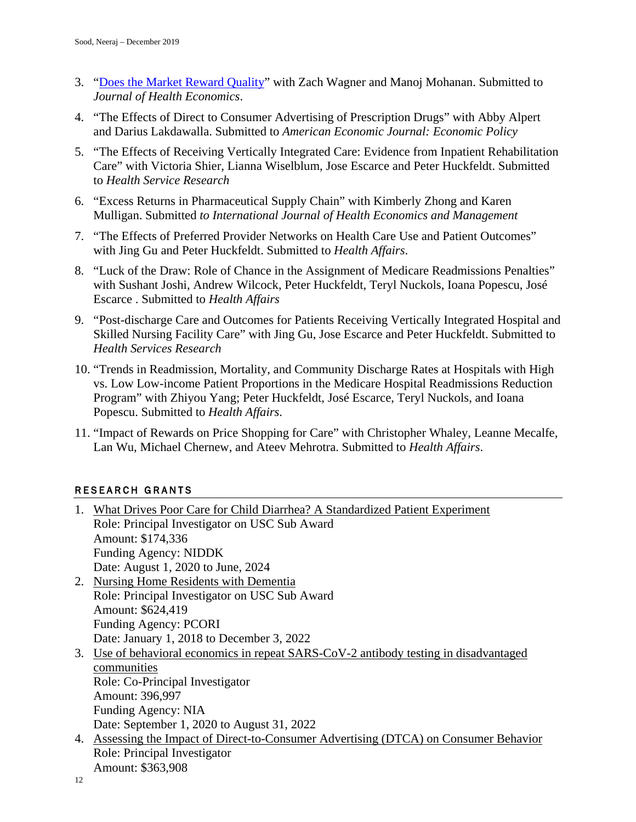- 3. ["Does the Market Reward Quality"](https://www.nber.org/papers/w26460) with Zach Wagner and Manoj Mohanan. Submitted to *Journal of Health Economics*.
- 4. "The Effects of Direct to Consumer Advertising of Prescription Drugs" with Abby Alpert and Darius Lakdawalla. Submitted to *American Economic Journal: Economic Policy*
- 5. "The Effects of Receiving Vertically Integrated Care: Evidence from Inpatient Rehabilitation Care" with Victoria Shier, Lianna Wiselblum, Jose Escarce and Peter Huckfeldt. Submitted to *Health Service Research*
- 6. "Excess Returns in Pharmaceutical Supply Chain" with Kimberly Zhong and Karen Mulligan. Submitted *to International Journal of Health Economics and Management*
- 7. "The Effects of Preferred Provider Networks on Health Care Use and Patient Outcomes" with Jing Gu and Peter Huckfeldt. Submitted to *Health Affairs*.
- 8. "Luck of the Draw: Role of Chance in the Assignment of Medicare Readmissions Penalties" with Sushant Joshi, Andrew Wilcock, Peter Huckfeldt, Teryl Nuckols, Ioana Popescu, José Escarce . Submitted to *Health Affairs*
- 9. "Post-discharge Care and Outcomes for Patients Receiving Vertically Integrated Hospital and Skilled Nursing Facility Care" with Jing Gu, Jose Escarce and Peter Huckfeldt. Submitted to *Health Services Research*
- 10. "Trends in Readmission, Mortality, and Community Discharge Rates at Hospitals with High vs. Low Low-income Patient Proportions in the Medicare Hospital Readmissions Reduction Program" with Zhiyou Yang; Peter Huckfeldt, José Escarce, Teryl Nuckols, and Ioana Popescu. Submitted to *Health Affairs*.
- 11. "Impact of Rewards on Price Shopping for Care" with Christopher Whaley, Leanne Mecalfe, Lan Wu, Michael Chernew, and Ateev Mehrotra. Submitted to *Health Affairs*.

# RESEARCH GRANTS

| 1. What Drives Poor Care for Child Diarrhea? A Standardized Patient Experiment        |
|---------------------------------------------------------------------------------------|
| Role: Principal Investigator on USC Sub Award                                         |
| Amount: \$174,336                                                                     |
| <b>Funding Agency: NIDDK</b>                                                          |
| Date: August 1, 2020 to June, 2024                                                    |
| 2. Nursing Home Residents with Dementia                                               |
| Role: Principal Investigator on USC Sub Award                                         |
| Amount: \$624,419                                                                     |
| <b>Funding Agency: PCORI</b>                                                          |
| Date: January 1, 2018 to December 3, 2022                                             |
| 3. Use of behavioral economics in repeat SARS-CoV-2 antibody testing in disadvantaged |
| communities                                                                           |
| Role: Co-Principal Investigator                                                       |
| Amount: 396,997                                                                       |
| Funding Agency: NIA                                                                   |
| Date: September 1, 2020 to August 31, 2022                                            |
| 4. Assessing the Impact of Direct-to-Consumer Advertising (DTCA) on Consumer Behavior |
| Role: Principal Investigator                                                          |
| Amount: \$363,908                                                                     |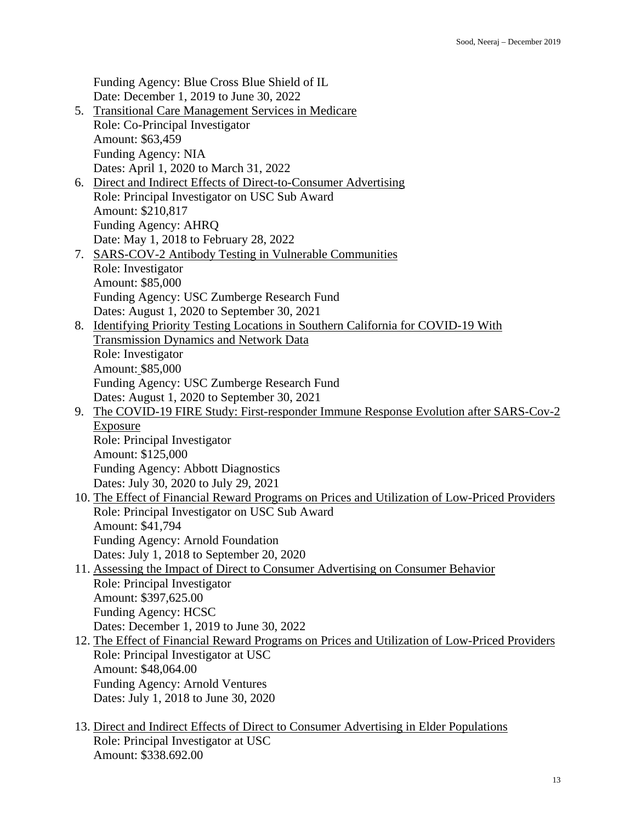Funding Agency: Blue Cross Blue Shield of IL Date: December 1, 2019 to June 30, 2022

- 5. Transitional Care Management Services in Medicare Role: Co-Principal Investigator Amount: \$63,459 Funding Agency: NIA Dates: April 1, 2020 to March 31, 2022
- 6. Direct and Indirect Effects of Direct-to-Consumer Advertising Role: Principal Investigator on USC Sub Award Amount: \$210,817 Funding Agency: AHRQ Date: May 1, 2018 to February 28, 2022
- 7. SARS-COV-2 Antibody Testing in Vulnerable Communities Role: Investigator Amount: \$85,000 Funding Agency: USC Zumberge Research Fund Dates: August 1, 2020 to September 30, 2021
- 8. Identifying Priority Testing Locations in Southern California for COVID-19 With Transmission Dynamics and Network Data Role: Investigator Amount: \$85,000 Funding Agency: USC Zumberge Research Fund Dates: August 1, 2020 to September 30, 2021
- 9. The COVID-19 FIRE Study: First-responder Immune Response Evolution after SARS-Cov-2 Exposure Role: Principal Investigator

Amount: \$125,000 Funding Agency: Abbott Diagnostics Dates: July 30, 2020 to July 29, 2021

- 10. The Effect of Financial Reward Programs on Prices and Utilization of Low-Priced Providers Role: Principal Investigator on USC Sub Award Amount: \$41,794 Funding Agency: Arnold Foundation Dates: July 1, 2018 to September 20, 2020
- 11. Assessing the Impact of Direct to Consumer Advertising on Consumer Behavior Role: Principal Investigator Amount: \$397,625.00 Funding Agency: HCSC Dates: December 1, 2019 to June 30, 2022 12. The Effect of Financial Reward Programs on Prices and Utilization of Low-Priced Providers
- Role: Principal Investigator at USC Amount: \$48,064.00 Funding Agency: Arnold Ventures Dates: July 1, 2018 to June 30, 2020
- 13. Direct and Indirect Effects of Direct to Consumer Advertising in Elder Populations Role: Principal Investigator at USC Amount: \$338.692.00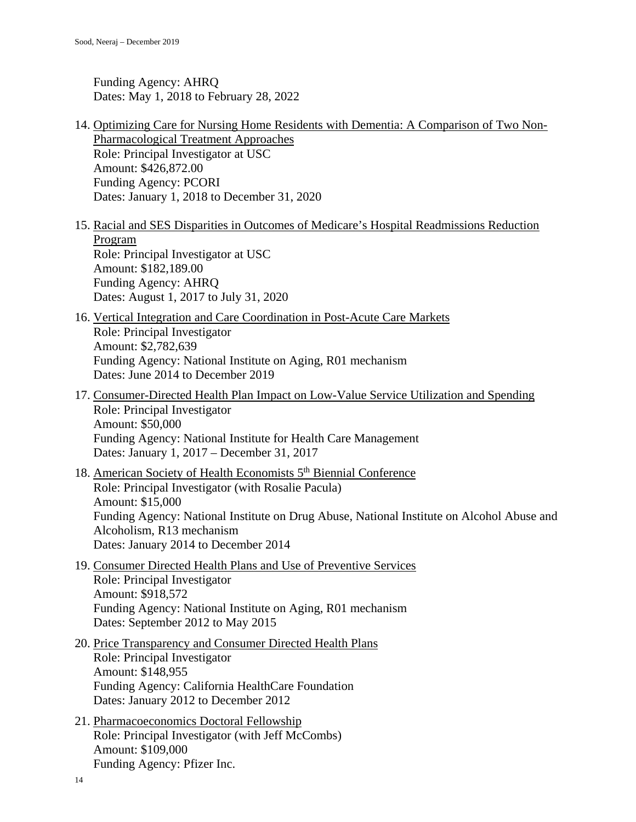Funding Agency: AHRQ Dates: May 1, 2018 to February 28, 2022

- 14. Optimizing Care for Nursing Home Residents with Dementia: A Comparison of Two Non-Pharmacological Treatment Approaches Role: Principal Investigator at USC Amount: \$426,872.00 Funding Agency: PCORI Dates: January 1, 2018 to December 31, 2020
- 15. Racial and SES Disparities in Outcomes of Medicare's Hospital Readmissions Reduction Program Role: Principal Investigator at USC Amount: \$182,189.00 Funding Agency: AHRQ Dates: August 1, 2017 to July 31, 2020
- 16. Vertical Integration and Care Coordination in Post-Acute Care Markets Role: Principal Investigator Amount: \$2,782,639 Funding Agency: National Institute on Aging, R01 mechanism Dates: June 2014 to December 2019
- 17. Consumer-Directed Health Plan Impact on Low-Value Service Utilization and Spending Role: Principal Investigator Amount: \$50,000 Funding Agency: National Institute for Health Care Management Dates: January 1, 2017 – December 31, 2017
- 18. American Society of Health Economists 5th Biennial Conference Role: Principal Investigator (with Rosalie Pacula) Amount: \$15,000 Funding Agency: National Institute on Drug Abuse, National Institute on Alcohol Abuse and Alcoholism, R13 mechanism Dates: January 2014 to December 2014
- 19. Consumer Directed Health Plans and Use of Preventive Services Role: Principal Investigator Amount: \$918,572 Funding Agency: National Institute on Aging, R01 mechanism Dates: September 2012 to May 2015
- 20. Price Transparency and Consumer Directed Health Plans Role: Principal Investigator Amount: \$148,955 Funding Agency: California HealthCare Foundation Dates: January 2012 to December 2012
- 21. Pharmacoeconomics Doctoral Fellowship Role: Principal Investigator (with Jeff McCombs) Amount: \$109,000 Funding Agency: Pfizer Inc.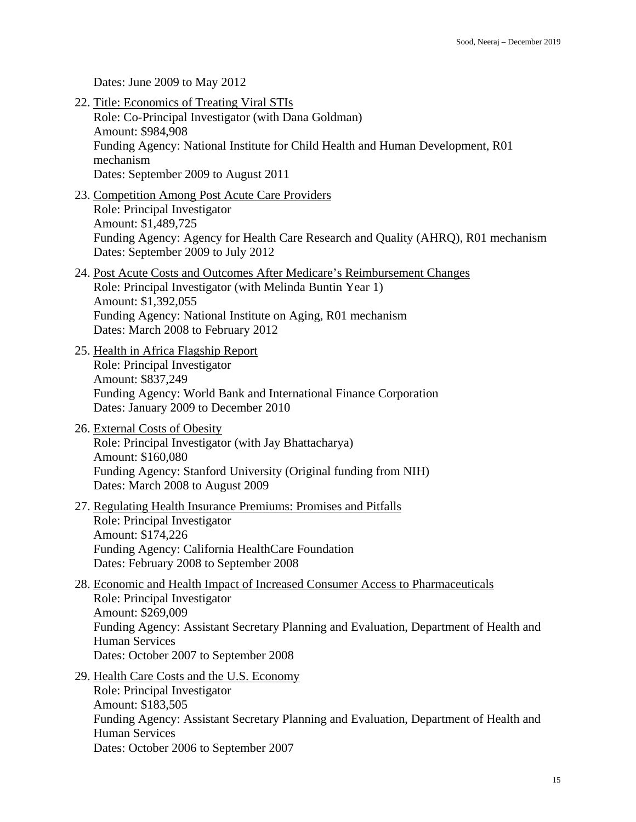Dates: June 2009 to May 2012

22. Title: Economics of Treating Viral STIs Role: Co-Principal Investigator (with Dana Goldman) Amount: \$984,908 Funding Agency: National Institute for Child Health and Human Development, R01 mechanism Dates: September 2009 to August 2011 23. Competition Among Post Acute Care Providers Role: Principal Investigator Amount: \$1,489,725 Funding Agency: Agency for Health Care Research and Quality (AHRQ), R01 mechanism Dates: September 2009 to July 2012 24. Post Acute Costs and Outcomes After Medicare's Reimbursement Changes Role: Principal Investigator (with Melinda Buntin Year 1) Amount: \$1,392,055 Funding Agency: National Institute on Aging, R01 mechanism Dates: March 2008 to February 2012 25. Health in Africa Flagship Report Role: Principal Investigator Amount: \$837,249 Funding Agency: World Bank and International Finance Corporation Dates: January 2009 to December 2010 26. External Costs of Obesity Role: Principal Investigator (with Jay Bhattacharya) Amount: \$160,080 Funding Agency: Stanford University (Original funding from NIH) Dates: March 2008 to August 2009 27. Regulating Health Insurance Premiums: Promises and Pitfalls Role: Principal Investigator Amount: \$174,226 Funding Agency: California HealthCare Foundation Dates: February 2008 to September 2008 28. Economic and Health Impact of Increased Consumer Access to Pharmaceuticals Role: Principal Investigator Amount: \$269,009 Funding Agency: Assistant Secretary Planning and Evaluation, Department of Health and Human Services Dates: October 2007 to September 2008 29. Health Care Costs and the U.S. Economy Role: Principal Investigator Amount: \$183,505 Funding Agency: Assistant Secretary Planning and Evaluation, Department of Health and Human Services Dates: October 2006 to September 2007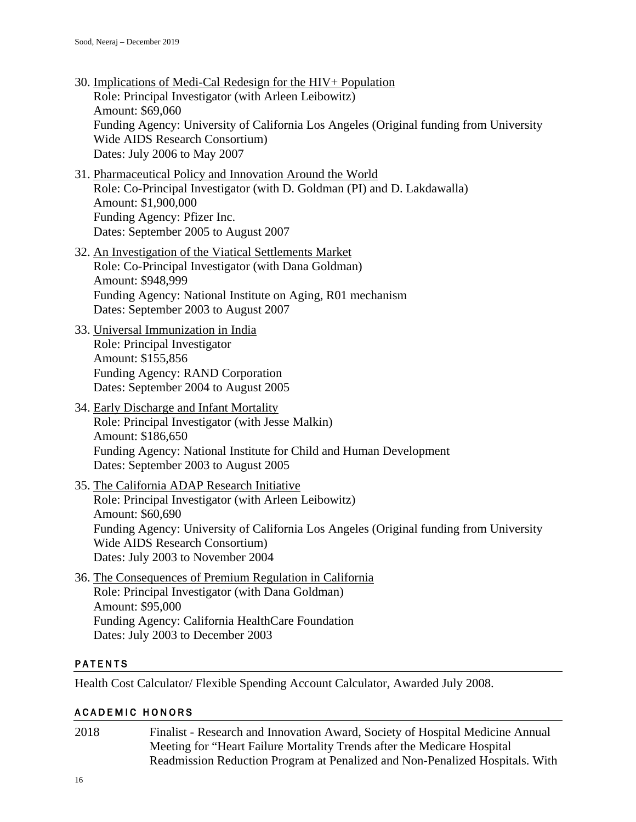- 30. Implications of Medi-Cal Redesign for the HIV+ Population Role: Principal Investigator (with Arleen Leibowitz) Amount: \$69,060 Funding Agency: University of California Los Angeles (Original funding from University Wide AIDS Research Consortium) Dates: July 2006 to May 2007
- 31. Pharmaceutical Policy and Innovation Around the World Role: Co-Principal Investigator (with D. Goldman (PI) and D. Lakdawalla) Amount: \$1,900,000 Funding Agency: Pfizer Inc. Dates: September 2005 to August 2007
- 32. An Investigation of the Viatical Settlements Market Role: Co-Principal Investigator (with Dana Goldman) Amount: \$948,999 Funding Agency: National Institute on Aging, R01 mechanism Dates: September 2003 to August 2007
- 33. Universal Immunization in India Role: Principal Investigator Amount: \$155,856 Funding Agency: RAND Corporation Dates: September 2004 to August 2005
- 34. Early Discharge and Infant Mortality Role: Principal Investigator (with Jesse Malkin) Amount: \$186,650 Funding Agency: National Institute for Child and Human Development Dates: September 2003 to August 2005
- 35. The California ADAP Research Initiative Role: Principal Investigator (with Arleen Leibowitz) Amount: \$60,690 Funding Agency: University of California Los Angeles (Original funding from University Wide AIDS Research Consortium) Dates: July 2003 to November 2004
- 36. The Consequences of Premium Regulation in California Role: Principal Investigator (with Dana Goldman) Amount: \$95,000 Funding Agency: California HealthCare Foundation Dates: July 2003 to December 2003

### PATENTS

Health Cost Calculator/ Flexible Spending Account Calculator, Awarded July 2008.

### ACADEMIC HONORS

2018 Finalist - Research and Innovation Award, Society of Hospital Medicine Annual Meeting for "Heart Failure Mortality Trends after the Medicare Hospital Readmission Reduction Program at Penalized and Non-Penalized Hospitals. With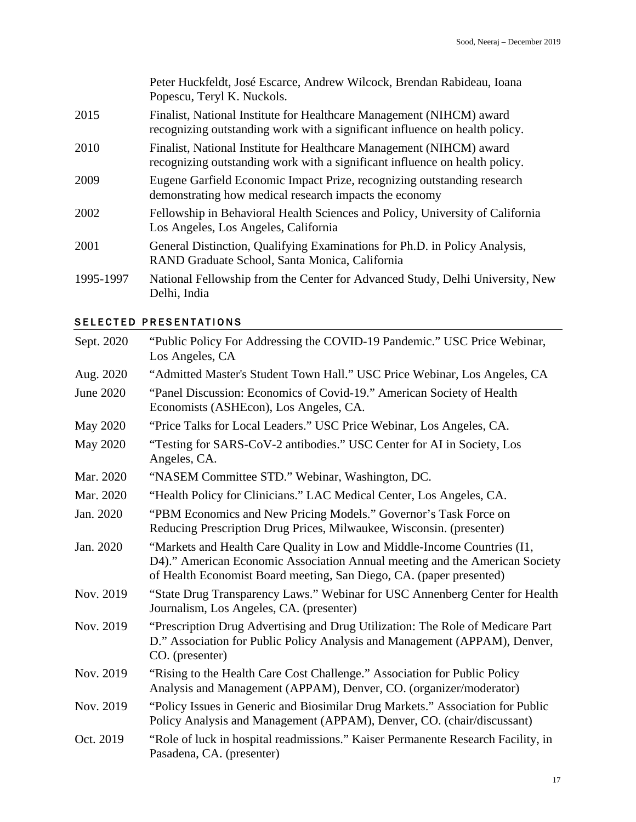|           | Peter Huckfeldt, José Escarce, Andrew Wilcock, Brendan Rabideau, Ioana<br>Popescu, Teryl K. Nuckols.                                                |
|-----------|-----------------------------------------------------------------------------------------------------------------------------------------------------|
| 2015      | Finalist, National Institute for Healthcare Management (NIHCM) award<br>recognizing outstanding work with a significant influence on health policy. |
| 2010      | Finalist, National Institute for Healthcare Management (NIHCM) award<br>recognizing outstanding work with a significant influence on health policy. |
| 2009      | Eugene Garfield Economic Impact Prize, recognizing outstanding research<br>demonstrating how medical research impacts the economy                   |
| 2002      | Fellowship in Behavioral Health Sciences and Policy, University of California<br>Los Angeles, Los Angeles, California                               |
| 2001      | General Distinction, Qualifying Examinations for Ph.D. in Policy Analysis,<br>RAND Graduate School, Santa Monica, California                        |
| 1995-1997 | National Fellowship from the Center for Advanced Study, Delhi University, New<br>Delhi, India                                                       |

# SELECTED PRESENTATIONS

| Sept. 2020 | "Public Policy For Addressing the COVID-19 Pandemic." USC Price Webinar,<br>Los Angeles, CA                                                                                                                                    |
|------------|--------------------------------------------------------------------------------------------------------------------------------------------------------------------------------------------------------------------------------|
| Aug. 2020  | "Admitted Master's Student Town Hall." USC Price Webinar, Los Angeles, CA                                                                                                                                                      |
| June 2020  | "Panel Discussion: Economics of Covid-19." American Society of Health<br>Economists (ASHEcon), Los Angeles, CA.                                                                                                                |
| May 2020   | "Price Talks for Local Leaders." USC Price Webinar, Los Angeles, CA.                                                                                                                                                           |
| May 2020   | "Testing for SARS-CoV-2 antibodies." USC Center for AI in Society, Los<br>Angeles, CA.                                                                                                                                         |
| Mar. 2020  | "NASEM Committee STD." Webinar, Washington, DC.                                                                                                                                                                                |
| Mar. 2020  | "Health Policy for Clinicians." LAC Medical Center, Los Angeles, CA.                                                                                                                                                           |
| Jan. 2020  | "PBM Economics and New Pricing Models." Governor's Task Force on<br>Reducing Prescription Drug Prices, Milwaukee, Wisconsin. (presenter)                                                                                       |
| Jan. 2020  | "Markets and Health Care Quality in Low and Middle-Income Countries (I1,<br>D4)." American Economic Association Annual meeting and the American Society<br>of Health Economist Board meeting, San Diego, CA. (paper presented) |
| Nov. 2019  | "State Drug Transparency Laws." Webinar for USC Annenberg Center for Health<br>Journalism, Los Angeles, CA. (presenter)                                                                                                        |
| Nov. 2019  | "Prescription Drug Advertising and Drug Utilization: The Role of Medicare Part<br>D." Association for Public Policy Analysis and Management (APPAM), Denver,<br>CO. (presenter)                                                |
| Nov. 2019  | "Rising to the Health Care Cost Challenge." Association for Public Policy<br>Analysis and Management (APPAM), Denver, CO. (organizer/moderator)                                                                                |
| Nov. 2019  | "Policy Issues in Generic and Biosimilar Drug Markets." Association for Public<br>Policy Analysis and Management (APPAM), Denver, CO. (chair/discussant)                                                                       |
| Oct. 2019  | "Role of luck in hospital readmissions." Kaiser Permanente Research Facility, in<br>Pasadena, CA. (presenter)                                                                                                                  |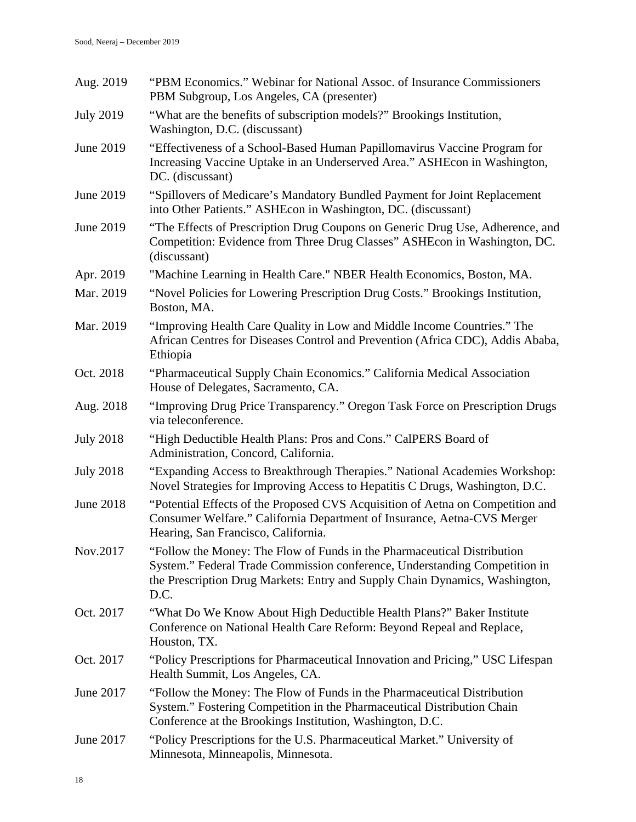| Aug. 2019        | "PBM Economics." Webinar for National Assoc. of Insurance Commissioners<br>PBM Subgroup, Los Angeles, CA (presenter)                                                                                                                         |
|------------------|----------------------------------------------------------------------------------------------------------------------------------------------------------------------------------------------------------------------------------------------|
| <b>July 2019</b> | "What are the benefits of subscription models?" Brookings Institution,<br>Washington, D.C. (discussant)                                                                                                                                      |
| June 2019        | "Effectiveness of a School-Based Human Papillomavirus Vaccine Program for<br>Increasing Vaccine Uptake in an Underserved Area." ASHEcon in Washington,<br>DC. (discussant)                                                                   |
| June 2019        | "Spillovers of Medicare's Mandatory Bundled Payment for Joint Replacement<br>into Other Patients." ASHE con in Washington, DC. (discussant)                                                                                                  |
| June 2019        | "The Effects of Prescription Drug Coupons on Generic Drug Use, Adherence, and<br>Competition: Evidence from Three Drug Classes" ASHEcon in Washington, DC.<br>(discussant)                                                                   |
| Apr. 2019        | "Machine Learning in Health Care." NBER Health Economics, Boston, MA.                                                                                                                                                                        |
| Mar. 2019        | "Novel Policies for Lowering Prescription Drug Costs." Brookings Institution,<br>Boston, MA.                                                                                                                                                 |
| Mar. 2019        | "Improving Health Care Quality in Low and Middle Income Countries." The<br>African Centres for Diseases Control and Prevention (Africa CDC), Addis Ababa,<br>Ethiopia                                                                        |
| Oct. 2018        | "Pharmaceutical Supply Chain Economics." California Medical Association<br>House of Delegates, Sacramento, CA.                                                                                                                               |
| Aug. 2018        | "Improving Drug Price Transparency." Oregon Task Force on Prescription Drugs<br>via teleconference.                                                                                                                                          |
| <b>July 2018</b> | "High Deductible Health Plans: Pros and Cons." CalPERS Board of<br>Administration, Concord, California.                                                                                                                                      |
| <b>July 2018</b> | "Expanding Access to Breakthrough Therapies." National Academies Workshop:<br>Novel Strategies for Improving Access to Hepatitis C Drugs, Washington, D.C.                                                                                   |
| <b>June 2018</b> | "Potential Effects of the Proposed CVS Acquisition of Aetna on Competition and<br>Consumer Welfare." California Department of Insurance, Aetna-CVS Merger<br>Hearing, San Francisco, California.                                             |
| Nov.2017         | "Follow the Money: The Flow of Funds in the Pharmaceutical Distribution<br>System." Federal Trade Commission conference, Understanding Competition in<br>the Prescription Drug Markets: Entry and Supply Chain Dynamics, Washington,<br>D.C. |
| Oct. 2017        | "What Do We Know About High Deductible Health Plans?" Baker Institute<br>Conference on National Health Care Reform: Beyond Repeal and Replace,<br>Houston, TX.                                                                               |
| Oct. 2017        | "Policy Prescriptions for Pharmaceutical Innovation and Pricing," USC Lifespan<br>Health Summit, Los Angeles, CA.                                                                                                                            |
| June 2017        | "Follow the Money: The Flow of Funds in the Pharmaceutical Distribution<br>System." Fostering Competition in the Pharmaceutical Distribution Chain<br>Conference at the Brookings Institution, Washington, D.C.                              |
| June 2017        | "Policy Prescriptions for the U.S. Pharmaceutical Market." University of<br>Minnesota, Minneapolis, Minnesota.                                                                                                                               |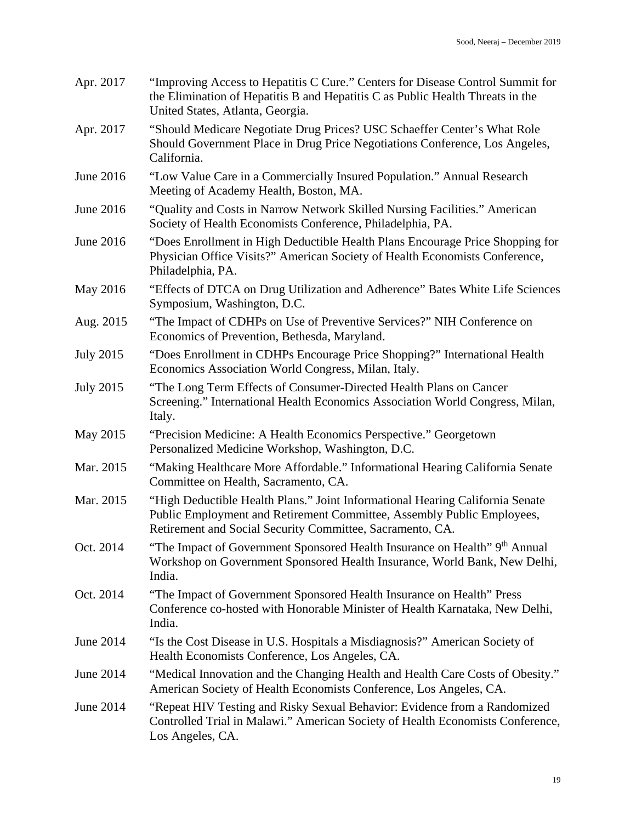| Apr. 2017        | "Improving Access to Hepatitis C Cure." Centers for Disease Control Summit for<br>the Elimination of Hepatitis B and Hepatitis C as Public Health Threats in the<br>United States, Atlanta, Georgia.                 |
|------------------|----------------------------------------------------------------------------------------------------------------------------------------------------------------------------------------------------------------------|
| Apr. 2017        | "Should Medicare Negotiate Drug Prices? USC Schaeffer Center's What Role<br>Should Government Place in Drug Price Negotiations Conference, Los Angeles,<br>California.                                               |
| June 2016        | "Low Value Care in a Commercially Insured Population." Annual Research<br>Meeting of Academy Health, Boston, MA.                                                                                                     |
| June 2016        | "Quality and Costs in Narrow Network Skilled Nursing Facilities." American<br>Society of Health Economists Conference, Philadelphia, PA.                                                                             |
| June 2016        | "Does Enrollment in High Deductible Health Plans Encourage Price Shopping for<br>Physician Office Visits?" American Society of Health Economists Conference,<br>Philadelphia, PA.                                    |
| May 2016         | "Effects of DTCA on Drug Utilization and Adherence" Bates White Life Sciences<br>Symposium, Washington, D.C.                                                                                                         |
| Aug. 2015        | "The Impact of CDHPs on Use of Preventive Services?" NIH Conference on<br>Economics of Prevention, Bethesda, Maryland.                                                                                               |
| <b>July 2015</b> | "Does Enrollment in CDHPs Encourage Price Shopping?" International Health<br>Economics Association World Congress, Milan, Italy.                                                                                     |
| <b>July 2015</b> | "The Long Term Effects of Consumer-Directed Health Plans on Cancer<br>Screening." International Health Economics Association World Congress, Milan,<br>Italy.                                                        |
| May 2015         | "Precision Medicine: A Health Economics Perspective." Georgetown<br>Personalized Medicine Workshop, Washington, D.C.                                                                                                 |
| Mar. 2015        | "Making Healthcare More Affordable." Informational Hearing California Senate<br>Committee on Health, Sacramento, CA.                                                                                                 |
| Mar. 2015        | "High Deductible Health Plans." Joint Informational Hearing California Senate<br>Public Employment and Retirement Committee, Assembly Public Employees,<br>Retirement and Social Security Committee, Sacramento, CA. |
| Oct. 2014        | "The Impact of Government Sponsored Health Insurance on Health" 9th Annual<br>Workshop on Government Sponsored Health Insurance, World Bank, New Delhi,<br>India.                                                    |
| Oct. 2014        | "The Impact of Government Sponsored Health Insurance on Health" Press<br>Conference co-hosted with Honorable Minister of Health Karnataka, New Delhi,<br>India.                                                      |
| June 2014        | "Is the Cost Disease in U.S. Hospitals a Misdiagnosis?" American Society of<br>Health Economists Conference, Los Angeles, CA.                                                                                        |
| June 2014        | "Medical Innovation and the Changing Health and Health Care Costs of Obesity."<br>American Society of Health Economists Conference, Los Angeles, CA.                                                                 |
| June 2014        | "Repeat HIV Testing and Risky Sexual Behavior: Evidence from a Randomized<br>Controlled Trial in Malawi." American Society of Health Economists Conference,<br>Los Angeles, CA.                                      |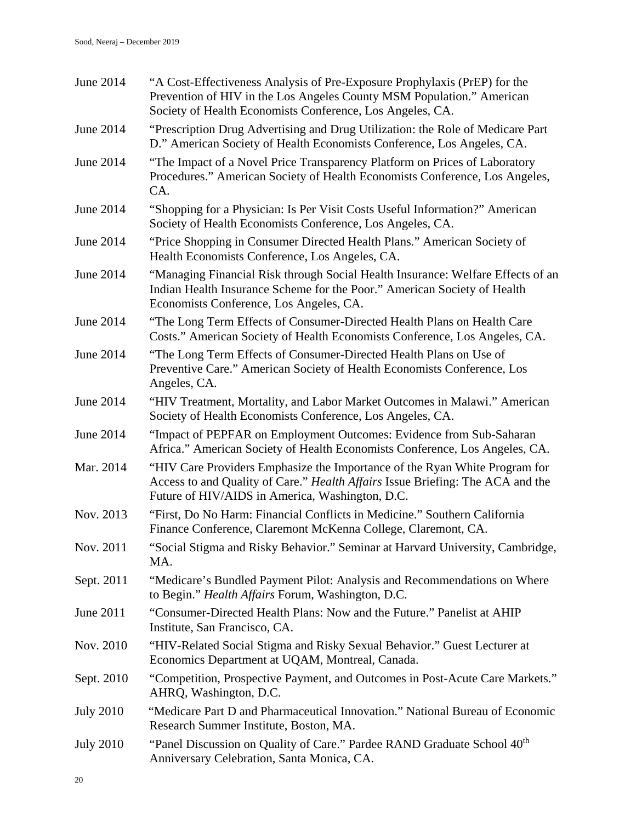| June 2014        | "A Cost-Effectiveness Analysis of Pre-Exposure Prophylaxis (PrEP) for the<br>Prevention of HIV in the Los Angeles County MSM Population." American<br>Society of Health Economists Conference, Los Angeles, CA. |
|------------------|-----------------------------------------------------------------------------------------------------------------------------------------------------------------------------------------------------------------|
| June 2014        | "Prescription Drug Advertising and Drug Utilization: the Role of Medicare Part<br>D." American Society of Health Economists Conference, Los Angeles, CA.                                                        |
| June 2014        | "The Impact of a Novel Price Transparency Platform on Prices of Laboratory<br>Procedures." American Society of Health Economists Conference, Los Angeles,<br>CA.                                                |
| June 2014        | "Shopping for a Physician: Is Per Visit Costs Useful Information?" American<br>Society of Health Economists Conference, Los Angeles, CA.                                                                        |
| June 2014        | "Price Shopping in Consumer Directed Health Plans." American Society of<br>Health Economists Conference, Los Angeles, CA.                                                                                       |
| June 2014        | "Managing Financial Risk through Social Health Insurance: Welfare Effects of an<br>Indian Health Insurance Scheme for the Poor." American Society of Health<br>Economists Conference, Los Angeles, CA.          |
| June 2014        | "The Long Term Effects of Consumer-Directed Health Plans on Health Care<br>Costs." American Society of Health Economists Conference, Los Angeles, CA.                                                           |
| June 2014        | "The Long Term Effects of Consumer-Directed Health Plans on Use of<br>Preventive Care." American Society of Health Economists Conference, Los<br>Angeles, CA.                                                   |
| June 2014        | "HIV Treatment, Mortality, and Labor Market Outcomes in Malawi." American<br>Society of Health Economists Conference, Los Angeles, CA.                                                                          |
| June 2014        | "Impact of PEPFAR on Employment Outcomes: Evidence from Sub-Saharan<br>Africa." American Society of Health Economists Conference, Los Angeles, CA.                                                              |
| Mar. 2014        | "HIV Care Providers Emphasize the Importance of the Ryan White Program for<br>Access to and Quality of Care." Health Affairs Issue Briefing: The ACA and the<br>Future of HIV/AIDS in America, Washington, D.C. |
| Nov. 2013        | "First, Do No Harm: Financial Conflicts in Medicine." Southern California<br>Finance Conference, Claremont McKenna College, Claremont, CA.                                                                      |
| Nov. 2011        | "Social Stigma and Risky Behavior." Seminar at Harvard University, Cambridge,<br>MA.                                                                                                                            |
| Sept. 2011       | "Medicare's Bundled Payment Pilot: Analysis and Recommendations on Where<br>to Begin." Health Affairs Forum, Washington, D.C.                                                                                   |
| June 2011        | "Consumer-Directed Health Plans: Now and the Future." Panelist at AHIP<br>Institute, San Francisco, CA.                                                                                                         |
| Nov. 2010        | "HIV-Related Social Stigma and Risky Sexual Behavior." Guest Lecturer at<br>Economics Department at UQAM, Montreal, Canada.                                                                                     |
| Sept. 2010       | "Competition, Prospective Payment, and Outcomes in Post-Acute Care Markets."<br>AHRQ, Washington, D.C.                                                                                                          |
| <b>July 2010</b> | "Medicare Part D and Pharmaceutical Innovation." National Bureau of Economic<br>Research Summer Institute, Boston, MA.                                                                                          |
| <b>July 2010</b> | "Panel Discussion on Quality of Care." Pardee RAND Graduate School 40th<br>Anniversary Celebration, Santa Monica, CA.                                                                                           |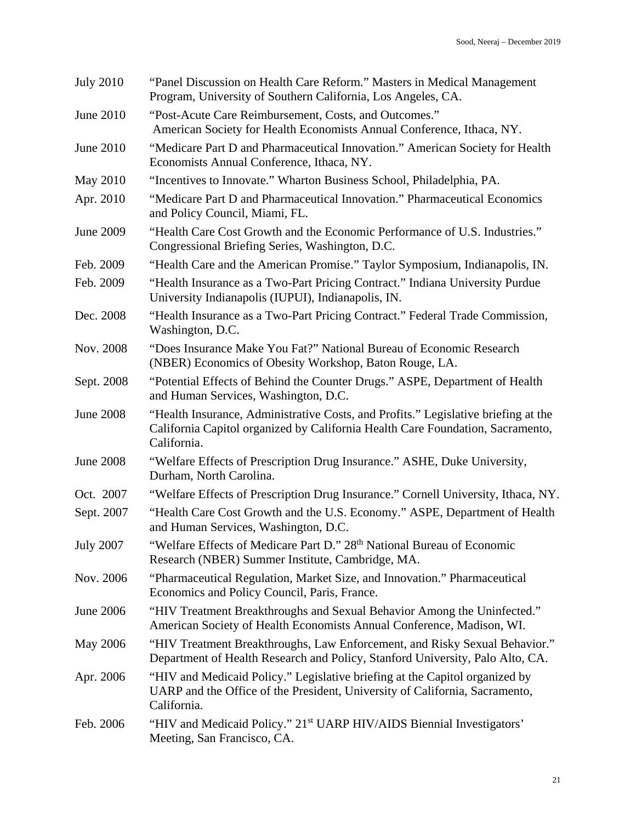| <b>July 2010</b> | "Panel Discussion on Health Care Reform." Masters in Medical Management<br>Program, University of Southern California, Los Angeles, CA.                                             |
|------------------|-------------------------------------------------------------------------------------------------------------------------------------------------------------------------------------|
| June 2010        | "Post-Acute Care Reimbursement, Costs, and Outcomes."<br>American Society for Health Economists Annual Conference, Ithaca, NY.                                                      |
| June 2010        | "Medicare Part D and Pharmaceutical Innovation." American Society for Health<br>Economists Annual Conference, Ithaca, NY.                                                           |
| May 2010         | "Incentives to Innovate." Wharton Business School, Philadelphia, PA.                                                                                                                |
| Apr. 2010        | "Medicare Part D and Pharmaceutical Innovation." Pharmaceutical Economics<br>and Policy Council, Miami, FL.                                                                         |
| June 2009        | "Health Care Cost Growth and the Economic Performance of U.S. Industries."<br>Congressional Briefing Series, Washington, D.C.                                                       |
| Feb. 2009        | "Health Care and the American Promise." Taylor Symposium, Indianapolis, IN.                                                                                                         |
| Feb. 2009        | "Health Insurance as a Two-Part Pricing Contract." Indiana University Purdue<br>University Indianapolis (IUPUI), Indianapolis, IN.                                                  |
| Dec. 2008        | "Health Insurance as a Two-Part Pricing Contract." Federal Trade Commission,<br>Washington, D.C.                                                                                    |
| Nov. 2008        | "Does Insurance Make You Fat?" National Bureau of Economic Research<br>(NBER) Economics of Obesity Workshop, Baton Rouge, LA.                                                       |
| Sept. 2008       | "Potential Effects of Behind the Counter Drugs." ASPE, Department of Health<br>and Human Services, Washington, D.C.                                                                 |
| <b>June 2008</b> | "Health Insurance, Administrative Costs, and Profits." Legislative briefing at the<br>California Capitol organized by California Health Care Foundation, Sacramento,<br>California. |
| <b>June 2008</b> | "Welfare Effects of Prescription Drug Insurance." ASHE, Duke University,<br>Durham, North Carolina.                                                                                 |
| Oct. 2007        | "Welfare Effects of Prescription Drug Insurance." Cornell University, Ithaca, NY.                                                                                                   |
| Sept. 2007       | "Health Care Cost Growth and the U.S. Economy." ASPE, Department of Health<br>and Human Services, Washington, D.C.                                                                  |
| <b>July 2007</b> | "Welfare Effects of Medicare Part D." 28th National Bureau of Economic<br>Research (NBER) Summer Institute, Cambridge, MA.                                                          |
| Nov. 2006        | "Pharmaceutical Regulation, Market Size, and Innovation." Pharmaceutical<br>Economics and Policy Council, Paris, France.                                                            |
| June 2006        | "HIV Treatment Breakthroughs and Sexual Behavior Among the Uninfected."<br>American Society of Health Economists Annual Conference, Madison, WI.                                    |
| May 2006         | "HIV Treatment Breakthroughs, Law Enforcement, and Risky Sexual Behavior."<br>Department of Health Research and Policy, Stanford University, Palo Alto, CA.                         |
| Apr. 2006        | "HIV and Medicaid Policy." Legislative briefing at the Capitol organized by<br>UARP and the Office of the President, University of California, Sacramento,<br>California.           |
| Feb. 2006        | "HIV and Medicaid Policy." 21 <sup>st</sup> UARP HIV/AIDS Biennial Investigators'<br>Meeting, San Francisco, CA.                                                                    |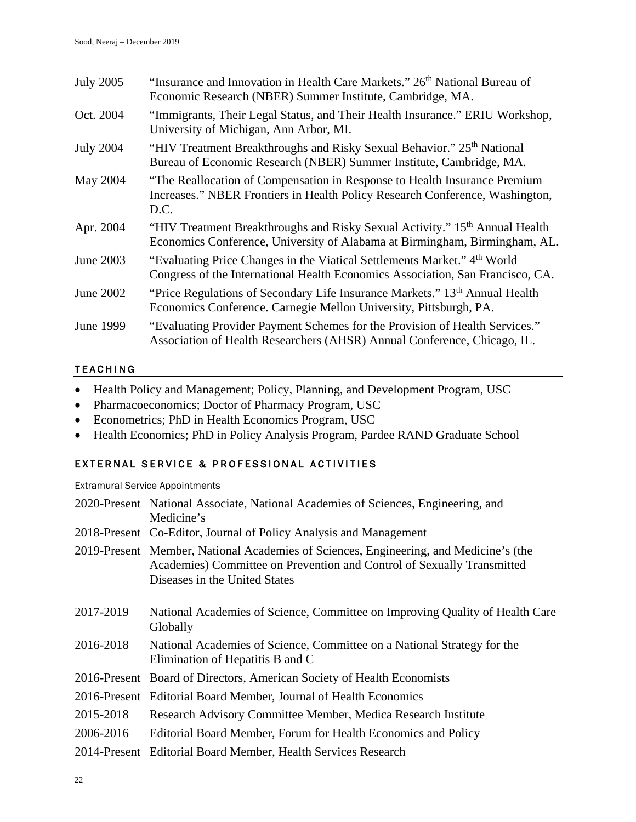| <b>July 2005</b> | "Insurance and Innovation in Health Care Markets." 26 <sup>th</sup> National Bureau of<br>Economic Research (NBER) Summer Institute, Cambridge, MA.                    |
|------------------|------------------------------------------------------------------------------------------------------------------------------------------------------------------------|
| Oct. 2004        | "Immigrants, Their Legal Status, and Their Health Insurance." ERIU Workshop,<br>University of Michigan, Ann Arbor, MI.                                                 |
| <b>July 2004</b> | "HIV Treatment Breakthroughs and Risky Sexual Behavior." 25 <sup>th</sup> National<br>Bureau of Economic Research (NBER) Summer Institute, Cambridge, MA.              |
| May 2004         | "The Reallocation of Compensation in Response to Health Insurance Premium<br>Increases." NBER Frontiers in Health Policy Research Conference, Washington,<br>D.C.      |
| Apr. 2004        | "HIV Treatment Breakthroughs and Risky Sexual Activity." 15 <sup>th</sup> Annual Health<br>Economics Conference, University of Alabama at Birmingham, Birmingham, AL.  |
| June 2003        | "Evaluating Price Changes in the Viatical Settlements Market." 4 <sup>th</sup> World<br>Congress of the International Health Economics Association, San Francisco, CA. |
| June 2002        | "Price Regulations of Secondary Life Insurance Markets." 13th Annual Health<br>Economics Conference. Carnegie Mellon University, Pittsburgh, PA.                       |
| June 1999        | "Evaluating Provider Payment Schemes for the Provision of Health Services."<br>Association of Health Researchers (AHSR) Annual Conference, Chicago, IL.                |

### TEACHING

- Health Policy and Management; Policy, Planning, and Development Program, USC
- Pharmacoeconomics; Doctor of Pharmacy Program, USC
- Econometrics; PhD in Health Economics Program, USC
- Health Economics; PhD in Policy Analysis Program, Pardee RAND Graduate School

# EXTERNAL SERVICE & PROFESSIONAL ACTIVITIES

#### Extramural Service Appointments

|           | 2020-Present National Associate, National Academies of Sciences, Engineering, and<br>Medicine's                                                                                                  |
|-----------|--------------------------------------------------------------------------------------------------------------------------------------------------------------------------------------------------|
|           | 2018-Present Co-Editor, Journal of Policy Analysis and Management                                                                                                                                |
|           | 2019-Present Member, National Academies of Sciences, Engineering, and Medicine's (the<br>Academies) Committee on Prevention and Control of Sexually Transmitted<br>Diseases in the United States |
| 2017-2019 | National Academies of Science, Committee on Improving Quality of Health Care<br>Globally                                                                                                         |
| 2016-2018 | National Academies of Science, Committee on a National Strategy for the<br>Elimination of Hepatitis B and C                                                                                      |
|           | 2016-Present Board of Directors, American Society of Health Economists                                                                                                                           |
|           | 2016-Present Editorial Board Member, Journal of Health Economics                                                                                                                                 |
| 2015-2018 | Research Advisory Committee Member, Medica Research Institute                                                                                                                                    |
| 2006-2016 | Editorial Board Member, Forum for Health Economics and Policy                                                                                                                                    |
|           | 2014-Present Editorial Board Member, Health Services Research                                                                                                                                    |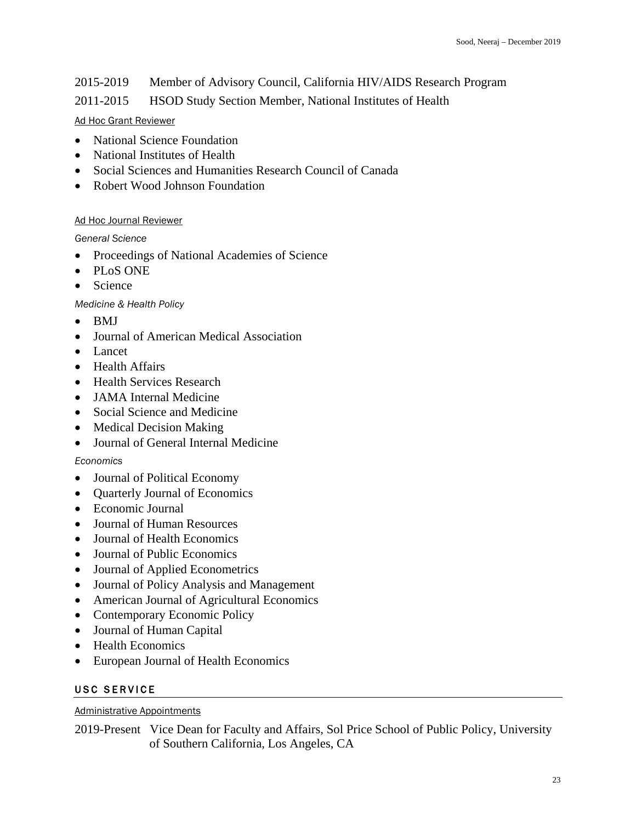# 2015-2019 Member of Advisory Council, California HIV/AIDS Research Program

# 2011-2015 HSOD Study Section Member, National Institutes of Health

#### Ad Hoc Grant Reviewer

- National Science Foundation
- National Institutes of Health
- Social Sciences and Humanities Research Council of Canada
- Robert Wood Johnson Foundation

#### Ad Hoc Journal Reviewer

*General Science*

- Proceedings of National Academies of Science
- PLoS ONE
- Science

*Medicine & Health Policy*

- BMJ
- Journal of American Medical Association
- Lancet
- Health Affairs
- Health Services Research
- JAMA Internal Medicine
- Social Science and Medicine
- Medical Decision Making
- Journal of General Internal Medicine

### *Economics*

- Journal of Political Economy
- Quarterly Journal of Economics
- Economic Journal
- Journal of Human Resources
- Journal of Health Economics
- Journal of Public Economics
- Journal of Applied Econometrics
- Journal of Policy Analysis and Management
- American Journal of Agricultural Economics
- Contemporary Economic Policy
- Journal of Human Capital
- Health Economics
- European Journal of Health Economics

### USC SERVICE

#### Administrative Appointments

2019-Present Vice Dean for Faculty and Affairs, Sol Price School of Public Policy, University of Southern California, Los Angeles, CA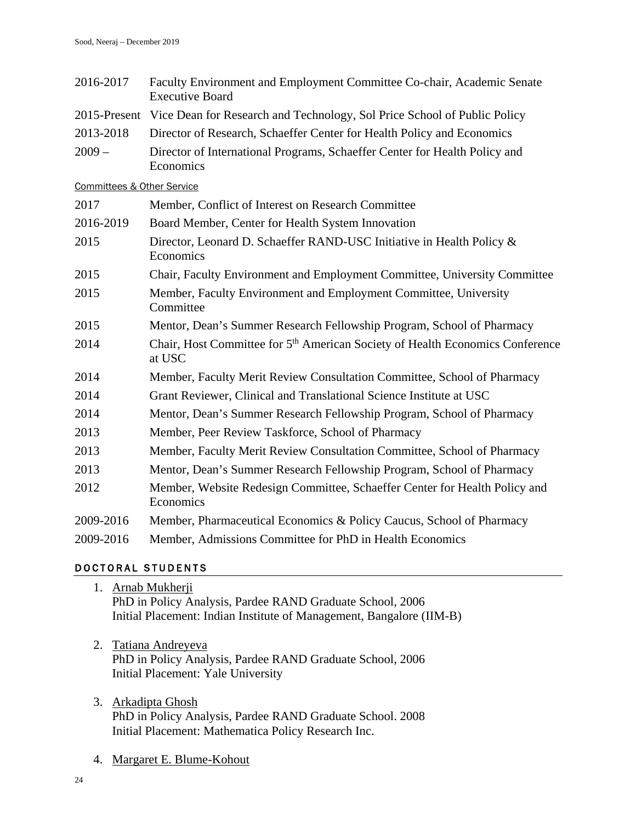- 2016-2017 Faculty Environment and Employment Committee Co-chair, Academic Senate Executive Board
- 2015-Present Vice Dean for Research and Technology, Sol Price School of Public Policy
- 2013-2018 Director of Research, Schaeffer Center for Health Policy and Economics
- 2009 Director of International Programs, Schaeffer Center for Health Policy and Economics

Committees & Other Service

| Member, Conflict of Interest on Research Committee                                                  |
|-----------------------------------------------------------------------------------------------------|
| Board Member, Center for Health System Innovation                                                   |
| Director, Leonard D. Schaeffer RAND-USC Initiative in Health Policy &<br>Economics                  |
| Chair, Faculty Environment and Employment Committee, University Committee                           |
| Member, Faculty Environment and Employment Committee, University<br>Committee                       |
| Mentor, Dean's Summer Research Fellowship Program, School of Pharmacy                               |
| Chair, Host Committee for 5 <sup>th</sup> American Society of Health Economics Conference<br>at USC |
| Member, Faculty Merit Review Consultation Committee, School of Pharmacy                             |
| Grant Reviewer, Clinical and Translational Science Institute at USC                                 |
| Mentor, Dean's Summer Research Fellowship Program, School of Pharmacy                               |
| Member, Peer Review Taskforce, School of Pharmacy                                                   |
| Member, Faculty Merit Review Consultation Committee, School of Pharmacy                             |
| Mentor, Dean's Summer Research Fellowship Program, School of Pharmacy                               |
| Member, Website Redesign Committee, Schaeffer Center for Health Policy and<br>Economics             |
| Member, Pharmaceutical Economics & Policy Caucus, School of Pharmacy                                |
| Member, Admissions Committee for PhD in Health Economics                                            |
|                                                                                                     |

### DOCTORAL STUDENTS

- 1. Arnab Mukherji PhD in Policy Analysis, Pardee RAND Graduate School, 2006 Initial Placement: Indian Institute of Management, Bangalore (IIM-B)
- 2. Tatiana Andreyeva PhD in Policy Analysis, Pardee RAND Graduate School, 2006 Initial Placement: Yale University
- 3. Arkadipta Ghosh PhD in Policy Analysis, Pardee RAND Graduate School. 2008 Initial Placement: Mathematica Policy Research Inc.
- 4. Margaret E. Blume-Kohout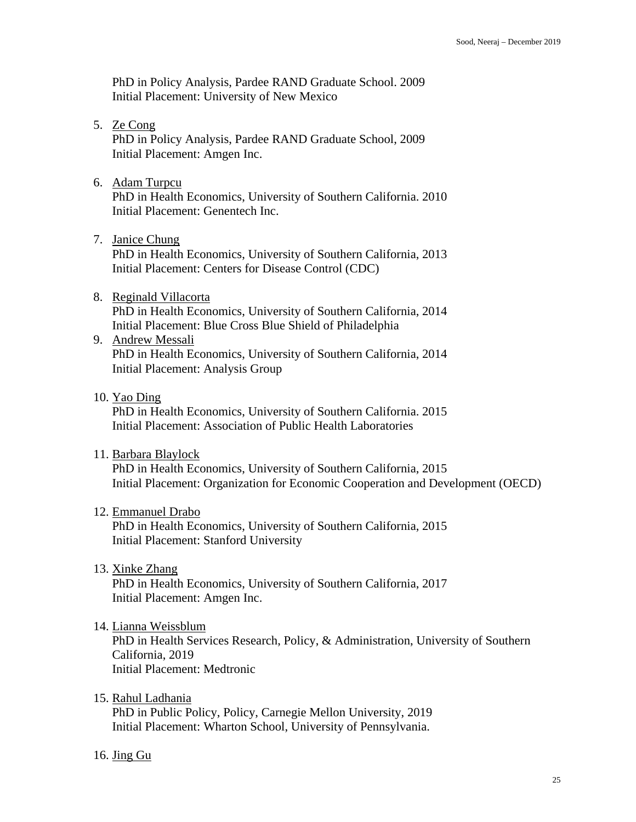PhD in Policy Analysis, Pardee RAND Graduate School. 2009 Initial Placement: University of New Mexico

- 5. Ze Cong PhD in Policy Analysis, Pardee RAND Graduate School, 2009 Initial Placement: Amgen Inc.
- 6. Adam Turpcu

PhD in Health Economics, University of Southern California. 2010 Initial Placement: Genentech Inc.

7. Janice Chung

PhD in Health Economics, University of Southern California, 2013 Initial Placement: Centers for Disease Control (CDC)

# 8. Reginald Villacorta

PhD in Health Economics, University of Southern California, 2014 Initial Placement: Blue Cross Blue Shield of Philadelphia

- 9. Andrew Messali PhD in Health Economics, University of Southern California, 2014 Initial Placement: Analysis Group
- 10. Yao Ding

PhD in Health Economics, University of Southern California. 2015 Initial Placement: Association of Public Health Laboratories

11. Barbara Blaylock

PhD in Health Economics, University of Southern California, 2015 Initial Placement: Organization for Economic Cooperation and Development (OECD)

# 12. Emmanuel Drabo

PhD in Health Economics, University of Southern California, 2015 Initial Placement: Stanford University

13. Xinke Zhang

PhD in Health Economics, University of Southern California, 2017 Initial Placement: Amgen Inc.

14. Lianna Weissblum

PhD in Health Services Research, Policy, & Administration, University of Southern California, 2019 Initial Placement: Medtronic

15. Rahul Ladhania

PhD in Public Policy, Policy, Carnegie Mellon University, 2019 Initial Placement: Wharton School, University of Pennsylvania.

16. Jing Gu